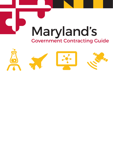

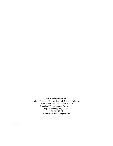# **For more information:**

Helga Weschke, Director, Federal Business Relations Office of Military and Federal Affairs Maryland Department of Commerce [Helga.Weschke@Maryland.gov](mailto:Helga.Weschke@Maryland.gov) 410-767-6920 **[Commerce.Maryland.gov/B2G](http://commerce.maryland.gov/grow/business-to-government)**

1/2021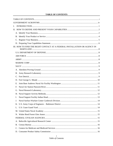# **TABLE OF CONTENTS**

<span id="page-2-0"></span>

| I.          |                                                                           |  |
|-------------|---------------------------------------------------------------------------|--|
|             |                                                                           |  |
|             |                                                                           |  |
|             |                                                                           |  |
|             |                                                                           |  |
|             |                                                                           |  |
|             | III. HOW TO FIND THE RIGHT CONTACT AT A FEDERAL INSTALLATION OR AGENCY IN |  |
|             |                                                                           |  |
|             |                                                                           |  |
|             |                                                                           |  |
|             |                                                                           |  |
|             |                                                                           |  |
|             |                                                                           |  |
|             |                                                                           |  |
|             |                                                                           |  |
|             |                                                                           |  |
| E.          |                                                                           |  |
| $F_{\cdot}$ |                                                                           |  |
|             |                                                                           |  |
|             |                                                                           |  |
| Ι.          |                                                                           |  |
|             |                                                                           |  |
|             |                                                                           |  |
|             |                                                                           |  |
|             |                                                                           |  |
|             |                                                                           |  |
|             |                                                                           |  |
|             |                                                                           |  |
|             |                                                                           |  |
|             |                                                                           |  |
|             |                                                                           |  |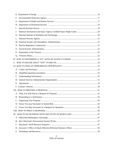| F. |  |
|----|--|
| G. |  |
|    |  |
| I. |  |
| J. |  |
| Κ. |  |
| L. |  |
|    |  |
|    |  |
|    |  |
| P. |  |
|    |  |
|    |  |
|    |  |
|    |  |
|    |  |
|    |  |
|    |  |
|    |  |
|    |  |
|    |  |
|    |  |
|    |  |
|    |  |
|    |  |
|    |  |
|    |  |
|    |  |
|    |  |
|    |  |
| B. |  |
| C. |  |
| D. |  |
| Е. |  |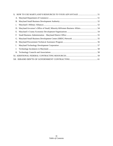| c. |                                                                             |  |
|----|-----------------------------------------------------------------------------|--|
|    | D. Maryland Governor's Office of Small, Minority & Women Business Affairs54 |  |
| Е. |                                                                             |  |
| F. |                                                                             |  |
|    |                                                                             |  |
|    |                                                                             |  |
| I. |                                                                             |  |
| J. |                                                                             |  |
|    |                                                                             |  |
|    |                                                                             |  |
|    |                                                                             |  |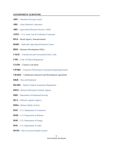### <span id="page-5-0"></span>**GOVERNMENT ACRONYMS**

- **APG** [Aberdeen Proving Ground](https://home.army.mil/apg/index.php)
- **ARL** [Army Research Laboratory](http://www.arl.army.mil/www/default.cfm)
- **ARS** [Agricultural Research Service, USDA](http://www.ars.usda.gov/main/main.htm)
- **ATEC**  [U.S. Army Test & Evaluation Command](https://www.army.mil/ATEC)
- **BAA** Broad Agency Announcements
- **BARC** [Beltsville Agricultural Research Center](http://www.ars.usda.gov/main/site_main.htm?modecode=80-42-05-00)
- **BDO** Business Development Office
- **CAGE** [Commercial and Government Entity Code](https://www.fsd.gov/fsd-gov/answer.do?sysparm_number=KB0011119)
- **CFR** [Code of Federal Regulations](https://www.gpo.gov/fdsys/browse/collectionCfr.action?collectionCode=CFR)
- **CLINS** Contract Line Items
- **CPARS**  [Contractor Performance Assessment Reporting System](https://www.cpars.gov/)
- **CRADA** Collaborative Research and Development Agreement
- **D&B** [Dun and Bradstreet](https://www.dnb.com/)
- **DFARS** [Defense Federal Acquisition Regulations](https://www.acquisition.gov/dfars)
- **DISA–** [Defense Information Systems Agency](http://www.disa.mil/)
- **DHS** [Department of Homeland Security](https://www.dhs.gov/)
- **DLA** [Defense Logistics Agency](http://www.dla.mil/)
- **DMA–** [Defense Media Activity](http://www.dma.mil/)
- **DOC** [U.S. Department of Commerce](https://www.commerce.gov/)
- **DOD** [U.S. Department of Defense](http://www.defense.gov/)
- **DOE**  [U.S. Department of Energy](http://www.energy.gov/)
- **DOL**  [U.S. Department of Labor](https://www.dol.gov/)
- **DUNS** [Data Universal Number System](http://www.dnb.com/duns-number.html)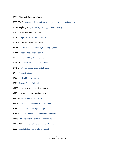- **EDI** Electronic Data Interchange
- **EDWOSB** [Economically Disadvantaged Woman-Owned Small Business](https://www.sba.gov/offices/headquarters/oed/resources/3690)
- **EEO Registry** [Equal Employment Opportunity Registry](https://ofccp.dol-esa.gov/preaward/pa_reg.html)
- **EFT** Electronic Funds Transfer
- **EIN**  [Employer Identification Number](https://irs-ein-forms-gov.com/?utm_source=adwords&utm_medium=cpc&utm_campaign=ein-campaign&utm_term=tax%20id%20number&gclid=EAIaIQobChMI4vPU68q-6wIVhL7ICh2_4QDPEAAYASAAEgIPKvD_BwE)
- **EPLS** Excluded Party List System
- **eSRS** [Electronic Subcontracting Reporting System](https://www.esrs.gov/)
- **FAR** [Federal Acquisition Regulation](https://www.acquisition.gov/?q=browsefar)
- **FDA** [Food and Drug Administration](http://www.fda.gov/)
- **FFRDC** [Federally-Funded R&D Center](http://www.nsf.gov/statistics/ffrdclist/)
- **FPDC** [Federal Procurement Data System](https://www.fpds.gov/fpdsng_cms/index.php/en/)
- **FR** [Federal Register](https://www.gpo.gov/fdsys/browse/collection.action?collectionCode=FR)
- **FSC** [Federal Supply Classes](https://www.gsa.gov/cdnstatic/4%20-%20PPDS%20FSC%20Best%20Practice%20508.docx)
- **FSS** [Federal Supply](https://www.gsa.gov/cdnstatic/4%20-%20PPDS%20FSC%20Best%20Practice%20508.docx) Schedule
- **GFE** Government Furnished Equipment
- **GFP** Government Furnished Property
- **GPE** [Government Point of](https://beta.sam.gov/) Entry
- **GSA** [U.S. General Services Administration](http://www.gsa.gov/portal/category/100000)
- **GSFC** [NASA Goddard Space Flight Center](http://www.nasa.gov/centers/goddard/home/index.html)
- **GWAC** [Government-wide Acquisition Contracts](http://www.gsa.gov/portal/content/104874)
- **HHS** Department [of Health and Human Services](http://www.hhs.gov/)
- **HUB Zone** [Historically Underutilized Business Zone](https://www.sba.gov/contracting/government-contracting-programs/hubzone-program)
- **IAE** [Integrated Acquisition Environment](http://www.gsa.gov/portal/category/21229)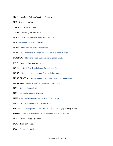- **IDIQ** Indefinite Delivery/Indefinite Quantity
- **IFB** Invitation for Bid
- **JBA** [Joint Base Andrews](http://www.andrews.af.mil/)
- **JPEO -** Joint Program Executive
- **MBIA** [Maryland Business Innovation Association](http://mdinnovate.org/about/)
- **MII –** [Maryland Innovation Initiative](http://tedco.md/program/the-maryland-innovation-initiative-mii/)
- **MIPS –** [Maryland Industrial Partnerships](http://www.mips.umd.edu/)
- **MDPTAC** [Maryland Procurement Technical Assistance Center](http://www.mdptap.org/)
- **MDSBDC** [Maryland Small Business Development Center](http://www.mdsbdc.umd.edu/)
- **MTA** Material Transfer Agreement
- **NAICS**  [North American Industry Classification System](http://www.census.gov/eos/www/naics/)
- **NASA**  [National Aeronautics and Space Administration](http://www.nasa.gov/)
- **NASA SEWP V** [NASA Solutions for Enterprise-Wide Procurement](http://www.sewp.nasa.gov/)
- **[NAWCAD](http://www.navair.navy.mil/nawcad/)** [Naval Air Warfare Center –](http://www.navair.navy.mil/nawcad/) Aircraft Division
- **NCI** [National Cancer Institute](http://www.cancer.gov/)
- **NIH** [National Institutes of Health](https://www.nih.gov/)
- **NIST** [National Institute of Standards and Technology](http://www.nist.gov/index.html)
- **NTIS**  [National Technical Information Service](http://www.ntis.gov/)
- **ORCA**  [Online Registration and Certificate Application](https://www.sam.gov/SAM/) (replaced by SAM)
- **OSDBU**  [Office of Small and Disadvantaged Business Utilization](https://www.gsa.gov/about-us/organization/office-of-small-and-disadvantaged-business-utilization)
- **PLA** Patent License Agreement
- **POC**  Point of Contact
- **PSC** [Product Service Code](https://www.acquisition.gov/psc-manual)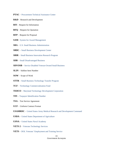- **PTAC** [Procurement Technical Assistance Center](https://www.sba.gov/offices/headquarters/ogc/resources/362381)
- **R&D** Research and Development
- **RFI** Request for Information
- **RFQ** Request for Quotation
- **RFP** Request for Proposal
- **SAM** [System for Award Management](https://www.sam.gov/SAM/)
- **SBA** [U.S. Small Business Administration](https://www.sba.gov/)
- **SBDC** [Small Business Development Center](https://www.sba.gov/local-assistance/find/)
- **SBIR** [Small Business Innovation Research Program](https://www.sbir.gov/)
- **SDB** [Small Disadvantaged Business](https://www.sba.gov/contracting/government-contracting-programs/small-disadvantaged-businesses)
- **SDVOSB** [Service Disabled Veteran-Owned Small Business](https://www.sba.gov/contracting/government-contracting-programs/service-disabled-veteran-owned-businesses)
- **SLIN** Subline Item Number
- **SOW** Scope of Work
- **STTR** [Small Business Technology Transfer Program](https://www.sbir.gov/about/about-sttr)
- **TCF** [Technology Commercialization Fund](http://tedco.md/program/technology-commercialization-fund-tcf/)
- **TEDCO** [Maryland Technology Development Corporation](http://tedco.md/)
- **TIN** [Taxpayer Identification Number](https://irs-ein-forms-gov.com/?utm_source=adwords&utm_medium=cpc&utm_campaign=ein-campaign&utm_term=tax%20id%20number&gclid=EAIaIQobChMI4vPU68q-6wIVhL7ICh2_4QDPEAAYASAAEgIPKvD_BwE)
- **TSA** Test Service Agreement
- **UCF**  Uniform Contract Format
- **USAMRDC** [United States Army Medical Research and Development](http://mrmc.amedd.army.mil/) Command
- **USDA**  [United States Department of Agriculture](http://www.usda.gov/wps/portal/usda/usdahome)
- **USNA** [United States Naval Academy](http://www.usna.edu/homepage.php)
- **VETS 2** [Veterans Technology Services](https://www.gsa.gov/technology/technology-purchasing-programs/governmentwide-acquisition-contracts/vets-2-governmentwide-acquisition-contract-gwac)
- **VETS** DOL Veterans' [Employment and Training Service](https://www.dol.gov/vets/index.htm)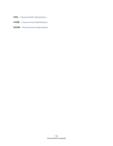- **VHA** [Veterans Health Administration](https://www.va.gov/health/)
- **VOSB** [Veteran-Owned Small Business](https://www.sba.gov/starting-business/how-start-business/business-types/veteran-owned-businesses)
- **WOSB** [Woman-Owned Small Business](https://www.sba.gov/contracting/government-contracting-programs/women-owned-small-businesses)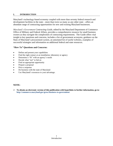# <span id="page-10-0"></span>**I. INTRODUCTION**

Maryland's technology-based economy coupled with more than seventy federal research and development facilities in the state—more than twice as many as any other state—offers an abundant range of contracting opportunities for new and existing Maryland businesses.

*Maryland's Government Contracting Guide,* edited by the Maryland Department of Commerce Office of Military and Federal Affairs, provides a comprehensive resource for small business owners as they navigate the complexities of contracting requirements. The Guide offers vital insight to key questions and concerns, includes a list of government acronyms, guidance on the State of Maryland's procurement system, an annotated list of useful websites, examples of successful strategies and information on additional federal and state resources.

# **"How To" Questions and Concerns:**

- Define and present your capabilities
- Find the right contact at an installation, laboratory or agency
- Determine a "fit" with an agency's needs
- Decide what "not" to bid on
- Find an appropriate opportunity
- Prepare a proposal
- Price a response
- Do business with the state of Maryland
- Use Maryland's resources to your advantage.

# **NOTE:**

➢ **To obtain an electronic version of this publication with hyperlinks to further information, go to: <http://commerce.maryland.gov/grow/business-to-government>**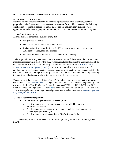### <span id="page-11-0"></span>**II. HOW TO DEFINE AND PRESENT YOUR CAPABILITIES**

### <span id="page-11-1"></span>**A. IDENTIFY YOUR BUSINESS**

Defining your business is important for accurate representation when submitting contract proposals. Federal government contracts can be set-aside for small businesses in the following certification programs and socio-economic categories. In addition, there are sole source opportunities under the 8(a) program, HUBZone, SDVOSB, WOSB and EDWOSB programs.

### **1. Small Business Concern**

A small business concern is a business entity that:

- Is organized for profit
- Has a place of business in the United States
- Makes a significant contribution to the U.S economy by paying taxes or using American products, materials or labor
- Does not exceed the numerical size standard for its industry.

To be eligible for federal government contracts reserved for small businesses, the business must meet the size requirements set by the SBA. These size standards define the maximum size of the business and its affiliates. The SBA assigns a size standard based on each [North American](https://www.census.gov/eos/www/naics/)  [Industry Classification System \(NAICS\)](https://www.census.gov/eos/www/naics/) code and are usually based on number of employees or average annual receipts. A small business must meet the size standard stated in the solicitation. The contracting officer designates the size standard of the procurement by selecting the industry that best describes the principal purpose of the procurement.

To determine if the business qualifies as "small" for federal government contracting purposes, use the SBA's [Size Standards Tool](https://www.sba.gov/document/support--table-size-standards). The regulations specifying size standards and governing their use are set forth in Title 13, Code of Federal Regulations (CFR), part 121 (13 CFR part 121), Small Business Size Regulations. Click [here](http://www.ecfr.gov/cgi-bin/text-idx?SID=50ff66d5d1cc9357d5f4ce114fcc5c79&mc=true&node=pt13.1.121&rgn=div5) to access an electronic version of 13 CFR part 121. SBA's size regulations pertaining to federal procurement are also found in the [Federal Acquisition](http://www.ecfr.gov/cgi-bin/text-idx?SID=cbac03f6f3cab68f567ad16c981915a9&mc=true&tpl=/ecfrbrowse/Title48/48tab_02.tpl)  [Regulation, 48 CFR,](http://www.ecfr.gov/cgi-bin/text-idx?SID=cbac03f6f3cab68f567ad16c981915a9&mc=true&tpl=/ecfrbrowse/Title48/48tab_02.tpl) Part 19.

### **2. Socio-Economic Designations**

- **Small disadvantaged business concerns (SDB)**
	- o The firm must be 51% or more owned and controlled by one or more disadvantaged persons.
	- o The disadvantaged person or persons must be socially disadvantaged and economically disadvantaged.
	- o The firm must be small, according to SBA's size standards.

You can self-represent your business as an SDB through the System for Award Management (SAM).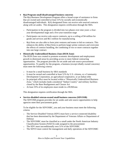# • **8(a) Program small disadvantaged business concerns**

The 8(a) Business Development Program offers a broad scope of assistance to firms that are owned and controlled at least 51% by socially and economically disadvantaged individuals. 8(A) designated firms can receive sole sourced contracts along with set asides. This designation requires certification through the SBA.

- $\circ$  Participation in the program is divided into two phases over nine years: a fouryear developmental stage and a five-year transition stage
- o Participants can receive sole-source contracts, up to a ceiling of \$4 million for goods and services and \$6.5 million for manufacturing
- $\circ$  8(a) firms are also able to form joint ventures and teams to bid on contracts. This enhances the ability of 8(a) firms to perform larger prime contracts and overcome the effects of contract bundling, the combining of two or more contracts together into one large contract.

### • **Historically Underutilized Business Zone (HUB Zone)**

The HUB Zone was created to promote economic development and employment growth in distressed areas by providing access to more federal contracting opportunities. The program provides for set aside and sole source procurement opportunities. To qualify for the program, a business (except tribally owned concerns) must meet the following criteria:

- o It must be a small business by SBA standards
- o It must be owned and controlled at least 51% by U.S. citizens, or a Community Development Corporation, an agricultural cooperative, or an Indian tribe
- o Its principal office must be located within a "Historically Underutilized Business Zone," which includes lands considered "Indian Country" and military facilities closed by the Base Realignment and Closure Act
- o At least 35% of its employees must reside in a HUBZone.

This designation requires certification through the SBA.

• **Service-disabled veteran-owned small business concerns (SDVOSB)** The SDVOSB program provides for set asides and sole source opportunities to help agencies meet their procurement goals.

To be eligible for the SDVOSBC, you and your business must meet the following criteria:

- o The Service-Disabled Veteran (SDV) must have a service-connected disability that has been determined by the Department of Veterans Affairs or Department of Defense
- o The SDVOSBC must be classified as a small under the North American Industry Classification System (NAICS) code assigned to the procurement
- o The SDV must unconditionally own 51% of the SDVOSBC
- o The SDVO must control the management and daily operations of the SDVOSBC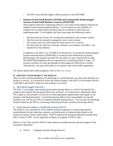- o The SDV must hold the highest officer position in the SDVOSBC
- **Woman-Owned Small Business (WOSB) and Economically Disadvantaged Woman-Owned Small Business Concerns (EDWOSB)**

This program authorizes contracting officers to set aside certain federal contracts for eligible women-owned small businesses. It was enacted to assist WOSB's to compete for set-aside federal contracts that are in industries where they are underrepresented. To be eligible, the firms must meet the following criteria:

- o The firm must be at least 51% owned and controlled by one or more women
- o The firm must be primarily managed by one or more women
- o The women who own and control the firm must be U.S. citizens
- $\circ$  The firm must be small in its primary industry in accordance with SBA's size standards for that industry.

In addition to the above, for a WOSB to be deemed an "economically disadvantaged" woman-owned business (EDWOSB), its owner(s) must demonstrate economic disadvantage. The program provides for set asides for only certain NAICS codes. The EDWOSB designation has an expanded list of qualifying NAICS codes. To become certified, you must go through an SBA-approved Third-Party Certifier. Alternatively, you may self-certify in accordance with current SBA regulations.

For further details about these programs, refer to the [SBA website](https://www.sba.gov/contracting/government-contracting-programs/what-small-business-set-aside).

### <span id="page-13-0"></span>**B. IDENTIFY YOUR PRODUCT OR SERVICE**

After you have met the guidelines for qualifying as a small business, you must also identify your product or service. It is essential to know the Federal Supply Code (FSC) or the Product Service Code (PSC) and NAICS codes for your products or services.

### **1. [The Federal Supply Code \(FSC\)](https://www.gsa.gov/cdnstatic/4%20-%20PPDS%20FSC%20Best%20Practice%20508.docx)**

The FSC is a four-digit code used by government buying offices to classify and identify the products and supplies that the government uses and buys. It is important to understand which FSCs apply to your products so that you can find appropriate opportunities and register to do business with the government. Government buying offices have responsibility for specific products; you will also use FSCs to identify potential buying offices. You can also do marketing research based on the FSC by reviewing contracting forecasts issued by the buying offices.

### **2. [North American Industry Classification System \(NAICS\)](http://www.census.gov/eos/www/naics/)**

The NAICS is the standard for use by federal statistical agencies in classifying business establishments for the collection, analysis, and publication of statistical data related to the business economy of the United States. NAICS replaced the Standard Industrial Classification (SIC) system in 1997. Every registered company is assigned a NAICS code.

Below is a list of the top five NAICS codes based on awarded amount and percentage of total awarded in Maryland:

• 541512 Computer Systems Design Services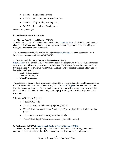- 541330 Engineering Services
- 541519 Other Computer Related Services
- 336611 Ship Building and Repairing
- 541712 Research and Development

Source: USASpending.gov

## <span id="page-14-0"></span>**C. REGISTER YOUR BUSINESS**

### **1. Obtain a Data Universal Number (DUNS)**

In order to register your business, you must obtain a [DUNS Number](https://www.dandb.com/). A DUNS is a unique ninecharacter identification that is used by both government and corporate officials searching for background information on companies.

You can access your DUNS number through this [searchable](https://www.dandb.com/dunsnumberlookup/) database or by contacting Dun & Bradstreet customer service at 800-526-9018.

### **2. Register with the System for Award Management (SAM)**

[beta.SAM.gov](https://beta.sam.gov/) is the official U.S. government website for people who make, receive and manage federal awards. This new system is a consolidation of FedBizOps, Federal Procurement Data System and the Wage Determinations Online Program. The searchable database allows you to learn about and search:

- Contract Opportunities
- Contract Data Reports
- Wage Determination

The database designed to hold information relevant to procurement and financial transactions for the U.S. Federal Government. You must register with [beta.SAM.gov](https://beta.sam.gov/) to be awarded a contract from the federal government. Create an effective profile that will allow agencies to search for your business based on multiple factors, including capabilities, size, location, experience and ownership.

Information Needed to Register:

- Your NAICS codes
- Your Data Universal Numbering System (DUNS)
- Your Federal Tax Identification Number (TIN) or Employer Identification Number (EIN)
- Your Product Service codes (optional but useful)
- Your Federal Supply Classification codes (optional but useful).

### **3. Registration in SBA's Dynamic [Small Business Search Database \(DSBS\)](http://dsbs.sba.gov/dsbs/search/dsp_dsbs.cfm)**

At the end of your beta.SAM.gov registration and completion of your profile, you will be automatically registered with the SBA. You are now ready to bid on federal contracts.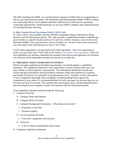The SBA maintains the DSBS. As a small business registers in SAM, there is an opportunity to fill out your small business profile. The information provided populates DSBS. DSBS is another tool contracting officers use to identify potential small business contractors for upcoming contracting opportunities. Small businesses can also use DSBS to identify other small businesses for teaming and joint venturing.

### **4. Get a [Commercial and Government Entity \(CAGE\) Code](https://cage.dla.mil/Home/UsageAgree)**

A CAGE code is a five-number code that identifies companies doing or interested in doing business with the federal government. The code provides a standardized method of identifying a given facility at a specific location and may be used for a facility clearance, a pre-award survey, automated bidders' lists, pay processes, source of supply, *etc*. In some cases, prime contractors may also require their subcontractors to have CAGE codes.

CAGE codes registration is incorporated in the SAM registration. Once your registration is active, you may view your CAGE code on the web by [searching the active registrations.](https://cage.dla.mil/Home/UsageAgree) After you have identified your business, identified your products and services and registered your business, you will have all the information needed to be placed on a vendor list.

### <span id="page-15-0"></span>**D. PREPARING YOUR CAPABILITIES STATEMENT**

Before you begin marketing to the federal government, you should prepare a capabilities statement. The capabilities statement is your opportunity to clearly and precisely state your firm's ability to satisfy agencies' requirements. The information should also include your current and past performance with government customers along with commercial customers, particularly if you have no experience in the government sector. Include a succinct description of your competitive advantage with an emphasis on differentiating factors against the competition in your niche. It is recommended that it be only one page, but no more than two, on the front and back of one sheet. This assumes that your business has a well-developed business plan showing that your company is ready to do business with the federal government.

Your capabilities statement should include the following:

- I. Company Overview
	- A. Company Name and Address
	- B. Company Point of Contact
	- C. Company Background Information What does your firm do?
		- 1. Experience in the field
		- 2. Financial stability
	- D. List of Corporate Facilities
		- 1. Your firm's equipment and resources
	- E. Client List
		- 1. A list of clients or testimonials from clients
- II. Corporate Capabilities Statement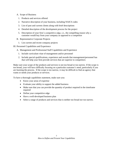- A. Scope of Business
	- 1. Products and services offered
	- 2. Narrative description of your business, including NAICS codes
	- 3. List of past and current clients along with brief descriptions
	- 4. Detailed description of the development process for the project
	- 5. Description of your firm's competitive edge, *i.e*., the compelling reason why a customer would buy from your company as opposed to a competitor
- B. Representative Corporate Projects
	- 1. List current and recent company projects
- III. Personnel Capabilities and Experience
	- A. Management and Professional Staff Capabilities and Experience
		- 1. Include curriculum vitae of management and/or personnel
		- 2. Include special qualifications, experience and awards that management/personnel has that will help your firm provide services that are superior to competitors

Make sure your scope of the products and services is not too broad or too narrow. If the scope is too broad, your will have difficulty focusing on a particular customer's need, particularly if you are learning the process. If the scope is too narrow, it may be difficult to find an agency that wants or needs your products or services.

To have a thorough capabilities statement, make sure you:

- Know your areas of expertise
- Evaluate your ability to support the added business
- Make sure that you can provide the quantity of product required in the timeframe required
- Define your competitive edge
- Have a well-developed business plan
- Select a range of products and services that is neither too broad nor too narrow.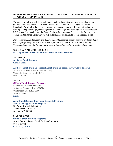# <span id="page-17-0"></span>**III. HOW TO FIND THE RIGHT CONTACT AT A MILITARY INSTALLATION OR AGENCY IN MARYLAND**

The goal is to link you to federal technology, technical expertise and research and development (R&D) assets. Below is a list of federal installations, laboratories and agencies located in Maryland. By utilizing the contact information, you can pursue the licensing of technology, forming R&D partnerships, accessing scientific knowledge, and learning how to access federal R&D assets. Also reach out to the Small Business Development Center and the Procurement Technical Assistance Center in your region for further assistance to access target agencies.

*Note: In some cases, the small and disadvantaged business utilization contacts are located at a service (Army, Navy, Air Force, Marine Corp and Coast Guard) office or in the Pentagon. The contact names and information provided in the sections below are subject to change.*

### <span id="page-17-1"></span>**U.S. DEPARTMENT OF DEFENSE**

**[U.S. Department of Defense Office of Small Business Programs](https://business.defense.gov/)**

<span id="page-17-2"></span>**AIR FORCE [Air Force Small Business](https://www.airforcesmallbiz.af.mil/)** [Contact Email](mailto:usaf.pentagon.saf-sb.mbx.air-force-small-biz@mail.mil)

### **[Air Force Small Business Research/Small Business Technology Transfer Program](https://www.airforcesmallbiz.af.mil/SBIR-STTR/)**

Air Force Research Laboratory (AFRL/SB) Wright-Patterson AFB, OH 45433 800-222-0336

### <span id="page-17-3"></span>**ARMY**

### **[Office of Small Business Programs](https://osbp.army.mil/)**

Kimberly D. Buehler, Director 106 Army Pentagon, Room 3B514 Washington DC 20130-0106 703-697-2868 [Email](mailto:usarmy.pentagon.hqda-osbp.mbx.ArmySmallBusinessInbox@mail.mil)

### **[Army Small Business Innovation Research Program](https://www.arl.army.mil/technologyoutreach/content/small-business-innovation-research-and-small-business-technology-transfer) [and Technology Transfer Program](https://www.arl.army.mil/technologyoutreach/content/small-business-innovation-research-and-small-business-technology-transfer)**

US Army Research Laboratory 2800 Powder Mill Road Adelphi, MD 20783

### <span id="page-17-4"></span>**MARINE CORP**

<span id="page-17-5"></span>**[Office of Small Business Programs](https://www.marcorsyscom.marines.mil/Command-Staff/Office-Of-Small-Business-Programs-OSBP/)** Austin Johnson, Deputy Small Business Programs 703-432-3944 [mcscosbp@usmc.mil](mailto:mcscosbp@usmc.mil)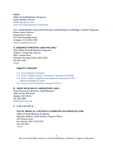**NAVY [Office of Small Business Programs](https://www.secnav.navy.mil/smallbusiness/Pages/default.aspx)** Emily Harman, Director [OSBP.infor@navy.mil](mailto:OSBP.infor@navy.mil) [Find Your Small Business Professional](https://www.secnav.navy.mil/smallbusiness/Pages/find-your-professional.aspx#InplviewHash3020c5d1-e8a9-494d-aafb-f23b74cdba40=FilterField1%3DColumn6-FilterValue1%3DMaryland)

## **[Navy Small Business Innovation Research /Small Business Technology Transfer Programs](http://www.navysbir.com/)**

Robert Smith, Director Department of Navy 875 North Randolph Street Arlington, VA 22203-1995 [robert.l.smith6@navy.mil](mailto:robert.l.smith6@navy.mil)

### <span id="page-18-0"></span>**A. ABERDEEN PROVING GROUND (APG)**

### **[APG Office of Small Business Programs](https://osbp.apg.army.mil/)**

Andrea S. Armstrong, Director 6001 Combat Drive Aberdeen Proving Ground, MD 21005 443-861-4340 [Email](mailto:usarmy.apg.cecom.mbx.small-business-outreach@mail.mil)

### **Supports Commands:**

[U.S. Army Materiel Command](https://www.amc.army.mil/) U.S. Army Communications– [Electronics Command \(CECOM\)](https://www.army.mil/cecom) [U.S. Army Combat Capabilities Development Command \(CCDC\)](https://www.army.mil/ccdc) [Chemical Biological Center](https://www.cbc.ccdc.army.mil/) [U.S. Army Test & Evaluation Command](https://www.army.mil/ATEC) (ATEC)

### <span id="page-18-1"></span>**B. ARMY RESEARCH LABORATORY (ARL)**

**[Army Research Laboratory](https://www.arl.army.mil/www/default.cfm?page=10) Small Business** 2800 Powder Mill Road Adelphi, MD 20783 301-394-2898 SDBA@arl.army.mil

# <span id="page-18-2"></span>**C. [FORT DETRICK](https://home.army.mil/detrick/index.php)**

### **NAVAL MEDICAL LOGISTICS COMMAND (NAVMEDLOGCOM)**

**[Office of Small Business Programs](https://www.med.navy.mil/sites/nmlc/Pages/DBU-BusinessOpps.aspx)**

Marianna McReal, Small Business Program Officer 639 Neiman Street Fort Detrick, MD 21702-9203 301-619-3097 [Email](mailto:usn.detrick.navmedlogcomftdmd.list.small-business@mail.mil)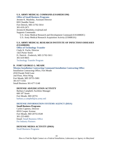# **U.S. ARMY MEDICAL COMMAND (USAMEDCOM)**

**[Office of Small Business Programs](https://smallbusopps.amedd.army.mil/)**

Jerome K. Maultsby, Assistant Director 820 Chandler Street Fort Detrick, MD 21702-5014 301-619-2471 [Jerome.K.Maultsby.civ@mail.mil](mailto:Jerome.K.Maultsby.civ@mail.mil) Supports Commands: U.S. Army Medical Research and Development Command (USAMRDC) U.S. Army Medical Research Acquisition Activity (USMRAA)

# **U.S. ARMY MEDICAL RESEARCH INSTITUTE OF INFECTIOUS DISEASES (USAMRIID)**

**[Office of Technology](https://www.usamriid.army.mil/businessopspage.htm) Transfer** Cindy K. Fuchs, Director 1425 Porter Street Ft. Detrick - Frederick, MD 21702-5011 301-619-9835 [Technology Transfer Program](http://www.usamriid.army.mil/businessopspage.htm)

### <span id="page-19-0"></span>**D. FORT GEORGE G. MEADE**

**[Mission Installation Contracting Command-Installation Contracting Office](http://www.ftmeade.army.mil/support/micc/micc.html)**

Installation Contracting Office, Fort Meade 4550 Parade Field Lane 2nd Floor, West Wing Fort Meade, MD 20755-5081 301-677-5102 Small Business 301-677-5148

### **DEFENSE ADJUDICATION ACTIVITY**

Barbara Campbell, Facilities Manager  $600 10$ <sup>th</sup> Street Fort Meade, MD 20755 barbara.a.campbell@us.army.mil

### **[DEFENSE INFORMATION SYSTEMS AGENCY \(DISA\)](http://www.disa.mil/)**

### **Small Business Programs**

Carlen Capenos, Director 6910 Cooper Avenue Fort Meade, MD 20755-0549 301-225-6003 Email: [Small Business Office](mailto:disa.meade.osbp.mbx.disa-small-business-office@mail.mil) [For Industry Partners](https://www.disa.mil/About/Industry-Partners)

### **DEFENSE MEDIA ACTIVITY (DMA)**

[Small Business Programs](https://www.dma.mil/Small-Business-Office/)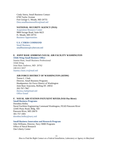Cindy Sierra, Small Business Contact 6700 Taylor Avenue Fort George G. Meade, MD 20755 Dma.smallbusinessoffice@mail.mil

### **NATIONAL SECURITY AGENCY (NSA)**

[Acquisition Resource Center](https://www.nsa.gov/business/acquisition-resource-center/) 9800 Savage Road, Suite 6623 Ft. Meade, MD 20755 [Business Opportunities](https://www.nsa.gov/business/)

# **[U.S. CYBER COMMAND](https://www.cybercom.mil/Partnerships-and-Outreach/Cyber-Command-and-Small-Business/)**

[Small Business](https://www.cybercom.mil/Partnerships-and-Outreach/Cyber-Command-and-Small-Business/) [smallbusiness@cybercom.mil](mailto:smallbusiness@cybercom.mil)

### <span id="page-20-0"></span>**E. JOINT BASE ANDREWS NAVAL AIR FACILITY WASHINGTON [316th Wing Small Business Office](https://www.jba.af.mil/Units/Small-Business/)**

Juanita Hunt, Small Business Professional 316th Wing Joint Base Andrews, MD 20762 240-612-5657 [Juanita.t.hunt.civ@mail.mil](mailto:Juanita.t.hunt.civ@mail.mil)

### **AIR FORCE DISTRICT OF WASHINGTON (AFDW)**

Teresa L. Clark Director, Small Business Programs Headquarters Air Force District of Washington Joint Base Anacostia, Bolling DC 20032 202-767-7967 [theresa.clark@mail.mil](mailto:theresa.clark@mail.mil) [Office Email](http://www.jba.af.mil/About-Us/Small-Business-Office)

### <span id="page-20-1"></span>**F. NAVAL AIR STATION PATUXENT RIVER (NAS Pax River)**

### **[Small Business Programs](https://www.secnav.navy.mil/smallbusiness/Pages/DBWD.aspx)**

Dorothea Holley Naval Facilities Engineering Command Washington, FEAD Patuxent River 22445 Peary Road, Bldg. 504 Patuxent River, MD 20670 301-757-1001 [dorothea.holley@navy.mil](mailto:dorothea.holley@navy.mil)

### **[Small Business Innovation and Research Program](http://www.navysbir.com/)**

John Williams, Director, Navy SBIR Programs Office of Naval Research One Liberty Center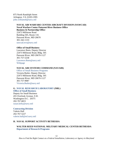875 North Randolph Street Arlington, VA 22203-1995 john.williams6@navy.mil

### **NAVAL AIR WARFARE CENTER AIRCRAFT DIVISION (NAWCAD) Naval Warfare Center Patuxent River Business Office Business & Partnership Office** 22473 Millstone Road

Building 505, Room 116 Patuxent River, MD 20670 301-342-1133 nawcad.nvo@navy.mil

### **Office of Small Business**

Lawrence Butts, Deputy Director 22473 Millstone Road, Bldg. 505 Patuxent River, MD 20670-1127 301-757-5258 [Lawrence.Butts@navy.mil](mailto:Lawrence.Butts@navy.mil) [Webpage](https://www.navair.navy.mil/nawcad/index.cfm)

### **NAVAL AIR SYSTEMS COMMAND (NAVAIR)**

[Office of Small Business Programs](http://www.navair.navy.mil/osbp/) Victoria Butler, Deputy Director 22473 Millstone Road, Bldg. 505 Patuxent River, MD 20670-1127 301-757-9087 [Victoria.Butler@navy.mil](mailto:Victoria.Butler@navy.mil)

# <span id="page-21-0"></span>**G. [NAVAL RESEARCH LABORATORY](https://www.nrl.navy.mil/doing-business/contracting-division) (NRL)**

**[Office of Small Business](http://sadbu.nrl.navy.mil/SADBU.htm)**

Deputy for Small Business 455 Overlook Avenue, S.W. Washington D.C. 20375 202-767-6815 [susan.kelly@navy.mil](mailto:susan.kelly@navy.mil)

### **[Contracting Division](https://www.nrl.navy.mil/doing-business/contracting-division)**

Valerie Hall 202-767-5227 valerie.hall@nrl.navy.mil

### <span id="page-21-1"></span>**H. NAVAL SUPPORT ACTIVITY BETHESDA**

**WALTER REED NATIONAL MILITARY MEDICAL CENTER BETHESDA [Department of Research Programs](https://walterreed.tricare.mil/About-Us/Department-of-Research-Programs)**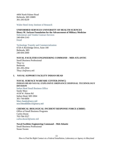4494 North Palmer Road Bethesda, MD 20889 [301-295-8239](https://www.wrair.army.mil/)

[Walter Reed Army Institute of Research](https://www.wrair.army.mil/)

## **UNIFORMED SERVICES UNIVERSITY OF HEALTH SCIENCES Henry M. Jackson Foundation for the Advancement of Military Medicine**

[Subcontract and Vendor Contract Services](https://guide.hjf.org/subcontract-and-vendor-contract-services/) 240-694-2143 [Email](https://guide.hjf.org/techtransfer/)

[Technology Transfer and Commercialization](https://guide.hjf.org/techtransfer/) 6720-A Rockledge Drive, Suite 100 Bethesda, MD 240-694-2000

### **NAVAL FACILITIES ENGINEERING COMMAND – MID-ATLANTIC**

Small Business Professional Thuy Le Bethesda 301-295-2954 Thuy.t.le@navy.mil

### <span id="page-22-0"></span>**I. NAVAL SUPPORT FACILITY INDIAN HEAD**

### **NAVAL SURFACE WARFARE CENTER (NSWC) INDIAN HEAD NAVAL EXPLOSIVE ORDNANCE DISPOSAL TECHNOLOGY DIVISION** [Indian Head Small Business Office](http://www.navsea.navy.mil/Home/Warfare-Centers/NSWC-Indian-Head-EOD-Technology/Partnerships/Small-Business/)

Sandy Mary 4158 W. Patton Rd Indian Head, MD 2064 301-744-6604 [Mary.Sandy@navy.mil](mailto:debra.weems@navy.mil) [nswciheodtdsbo.fct@navy.mil](mailto:nswciheodtdsbo.fct@navy.mil)

### **CHEMICAL BIOLOGICAL INCIDENT RESPONSE FORCE (CBIRF)**

Office of Small Business Programs Carlos Duran 703-784-3527 [carlos.duran3@usmc.mil](mailto:carlos.duran3@usmc.mil)

# **Naval Facilities Engineering Command – Mid-Atlantic**

Small Business Professional Susan Swann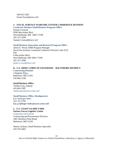540-653-3362 Susan.Swann@navy.mil

### <span id="page-23-0"></span>**J. NAVAL SURFACE WARFARE CENTER CARDEROCK DIVISION**

**[Carderock Division Small Business Program Office](http://www.navsea.navy.mil/Home/WarfareCenters/NSWCCarderock/Partnerships/SmallBusinessOffice.aspx)**

Suanne Coonrad 9500 MacArthur Blvd West Bethesda, MD 20817-5700 301-227-5499 Suanne.Coonrad@navy.mil

### **[Small Business Innovation and Research Program Office](http://www.navsea.navy.mil/Home/WarfareCenters/NSWCCarderock/Partnerships/TechnologyTransferOffice.aspx)**

James E. Wood, SBIR Program Manager Naval Sea Systems Command Carderock Division Code 0122 950 0 MacArthur Blvd West Bethesda, MD 20817-5700 301-227-2690 james.e.wood@navy.mil

# <span id="page-23-1"></span>**K. U.S. ARMY CORPS OF ENGINEERS – BALTIMORE DISTRICT**

**[Contracting Division](https://www.nab.usace.army.mil/Business-With-Us/Contracting/)** 2 Hopkins Plaza Baltimore, MD 21201 410-962-2196

### **Small Business Office**

Tamika Gray, Deputy 410-962-2587 tamika.gray@usace.army.mil

### **[Small Business Office,](http://www.usace.army.mil/Business-With-Us/Small-Business/) Headquarters**

Kay Riplinger-Baltz 202-761-8789 **[kay.j.riplinger-baltz@usace.army.mil](mailto:kay.j.riplinger-baltz@usace.army.mil)**

# <span id="page-23-2"></span>**L. U.S. COAST GUARD YARD**

**Surface Forces Logistics Center** [Acquisition Directorate](https://www.dcms.uscg.mil/Our-Organization/Assistant-Commandant-for-Acquisitions-CG-9/Doing-Business/)

Contracting and Procurement Division 2401 Hawkins Point Road, Baltimore, MD 21226

Sharon Jackson, Small Business Specialist 410-762-6463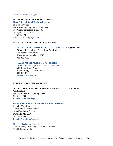[Sharon.J.Jackson@uscg.mil](mailto:Sharon.J.Jackson@uscg.mil)

# <span id="page-24-0"></span>**M. UNITED STATES NAVAL ACADEMY**

**[Navy Office of Small Business Programs](http://www.secnav.navy.mil/smallbusiness/pages/index.aspx)** Richard Rawlings Naval Facilities Engineering Command 181 Wainwright Road, Bldg. 181 Annapolis, MD 21402 410-293-3773 [Richard.N.Rawlings@navy.mil](mailto:Richard.N.Rawlings@navy.mil)

# <span id="page-24-1"></span>**N. WALTER REED FOREST GLEN ANNEX**

### **[WALTER REED ARMY INSTITUTE OF RESEARCH](https://www.dcms.uscg.mil/Our-Organization/Assistant-Commandant-for-Acquisitions-CG-9/Doing-Business/) (WRAIR)**

Office of Research and Technology Applications 503 Robert Grant Avenue Silver Spring, Maryland 20910 301-319-9000

### **[NAVAL MEDICAL RESEARCH CENTER](http://www.med.navy.mil/sites/nmrc/Pages/NMRD.aspx)**

[Office of Partnerships & Business Development](https://www.med.navy.mil/sites/nmrc/collaboration/Pages/Business-Contacts.aspx) 503 Robert Grant Avenue Silver Spring, MD 20910-7500 301-319-9000 [Partnerships@mail.mil](mailto:Partnerships@mail.mil)

### <span id="page-24-2"></span>**FEDERAL CIVILIAN AGENCIES**

# <span id="page-24-3"></span>**A. BELTSVILLE AGRICULTURAL RESEARCH CENTER (BARC) Contracting**

Michael Barnes, Contracting Director 301-504-1734 [michael.barnes@usda.gov](mailto:michael.barnes@usda.gov)

### **Office of Small [& Disadvantaged Business](https://www.dm.usda.gov/smallbus/specialists.htm) Utilization**

Saurabh Vasudeva Agriculture Research Service 10300 Baltimore Avenue Beltsville, MD 20705 301-504-4384 [Saurabh.Vasudeva@usda.gov](mailto:Saurabh.Vasudeva@usda.gov)

# [Office of Technology Transfer](https://www.ars.usda.gov/ott/office-of-technology-transfer/) James Poulos, Technology Transfer Coordinator 10300 Baltimore Blvd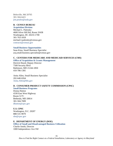Beltsville, Md 20705 301-504-6421 [jim.poulos@usda.gov](mailto:jim.poulos@usda.gov)

### <span id="page-25-0"></span>**B. CENSUS BUREAU**

**[Acquisition Division](http://census.gov/about/business-opportunities/opportunities.html)** Michael L. Palensky 4600 Silver Hill Rd, Room 3J438 Washington, DC 20233-1700 301-763-1818 michael.l.palensky@census.gov contracts@census.gov

### **[Small Business Opportunities](http://census.gov/about/business-opportunities/opportunities/sm-bus-opps.html)**

Sean Kinn, Small Business Specialist acq.small.business.specialist@census.gov

### <span id="page-25-1"></span>**C. CENTERS FOR MEDICARE AND MEDICAID SERVICES (CMS)**

**[Office of Acquisition & Grants Management](https://www.cms.gov/About-CMS/Contracting-With-CMS/ContractingGeneralInformation/index.html?redirect=/ContractingGeneralInformation/)**

Derrick Heard, Deputy Director 7500 Security Blvd Baltimore, MD 21244-1850 410-786-1381

Anita Allen, Small Business Specialist 202-640-0264 [Anita.Allen@hhs.gov](mailto:Anita.Allen@hhs.gov)

# <span id="page-25-2"></span>**D. CONSUMER PRODUCT SAFETY COMMISSION (CPSC)**

**[Small Business Programs](http://www.cpsc.gov/Business--Manufacturing/Small-Business-Resources1/Small-Business-Program/)**

Donna Hutton 4330 East West Highway Room 517C Bethesda, MD 20814 301-504-7009 [dhutton@cpsc.gov](mailto:dhutton@cpsc.gov)

# **U.S. CPSC** Washington, D.C. 20207

888-531-9070 sbo@cpsc.gov

### <span id="page-25-3"></span>**E. DEPARTMENT OF ENERGY (DOE)**

**[Office of Small and Disadvantaged](http://energy.gov/osdbu/office-small-and-disadvantaged-business-utilization) Business Utilization** Charlie Smith, Director 1000 Independence Ave SW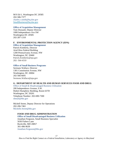M/S Ed-1, Washington DC 20585 202-586-7377 charles.r.smith@hq.doe.gov [SmallBusiness@hq.doe.gov](mailto:SmallBusiness@hq.doe.gov)

### **[Office of Acquisition Management](http://energy.gov/management/office-management/operational-management/procurement-and-acquisition)**

Tom Dussault, Deputy Director 1000 Independence Ave SW Washington DC 20585 202-287-1310

### <span id="page-26-0"></span>**F. ENVIRONMENTAL PROTECTION AGENCY (EPA)**

**[Office of Acquisition Management](https://www.epa.gov/contracts)** Patrick Kimberly, Director Ariel Rios Federal Building 1200 Pennsylvania Avenue, NW Washington, DC 20460 Patrick.Kimberly@epa.gov 202- 564-4310

### **[Office of Small Business Programs](https://www.epa.gov/resources-small-businesses)**

Sermans Wallace, Director 1301 Constitution Avenue, NW Washington, DC 20004 202-566-6691 Sermons.Wallace@epa.gov

### <span id="page-26-1"></span>**G. DEPARTMENT OF HEALTH AND HUMAN SERVICES FOOD AND DRUG**

[Office of Small & Disadvantaged Business Utilization](https://www.hhs.gov/grants/small-business-programs/index.html)

200 Independence Avenue, S.W. Hubert Humphrey Building, Room 637D Washington, DC 20201 Telephone Number: 202-690-7300 sbmail@hhs.gov

Michell Street, Deputy Director for Operations 202-206-7461 [Michelle.Street@hhs.gov](mailto:Michelle.Street@hhs.gov)

## **FOOD AND DRUG ADMINISTRATION**

### **Office [of Small Disadvantaged Business Utilization](http://www.fda.gov/AboutFDA/business/ucm134069.htm)**

Jonathan Ferguson, Small Business Specialist 5630 Fishers Lane Rockville, MD 20857 301-496-9639 [Jonathan.Ferguson@hhs.gov](mailto:Jonathan.Ferguson@hhs.gov)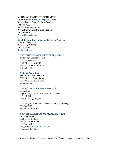### **NATIONAL INSTITUTE OF HEALTH**

**[Office of Small Business Program Office](https://oamp.od.nih.gov/NIHSmallBusiness)** Natasha Boyce, Small Business Specialist 202-640-8118 [Natasha.Boyce@hhs.gov](mailto:Natasha.Boyce@hhs.gov) Wayne Berry, Small Business Specialist 202-390-5801 [Wayne.Berry@hhs.gov](mailto:Wayne.Berry@hhs.gov)

### **[Small Business Innovation and Research Program](https://sbir.nih.gov/)**

6705 Rockledge Drive Bethesda, MD 20892 301-435-2688 sbir@od.nih.gov

### **[NATIONAL CANCER INSTITUTE \(NCI\)](http://www.cancer.gov/)**

[Technology Transfer Center](https://techtransfer.cancer.gov/) NCI Shady Grove 9609 Medical Center Dr. Bethesda, MD 20892-9702 240-276-5530

### **[Office of Acquisition](https://www.cancer.gov/about-nci/contracts/about-oa)**

Teresa Baughman, Director 9609 Medical Center Drive Rockville, MD 20850-9705 240-276-5440

### **[National Cancer Institute at Frederick](https://ncifrederick.cancer.gov/Default.aspx)**

**[Contracting](https://frederick.cancer.gov/workwithus/procurement)** Crystal Canja, Small Business liaison Officer 301-846-1704 [Crystal.Canja@nih.gov](mailto:Crystal.Canja@nih.gov)

Debi Hogarty, Commercial Products Purchasing Manger 301-846-1127 [follind@mail.nih.gov](mailto:follind@mail.nih.gov)

### **[NATIONAL LIBRARY OF MEDICINE \(NLM\)](https://www.nlm.nih.gov/)**

Mr. Fred Wood 8600 Rockville Pike Bethesda, MD 20894 301-402-9278 fred\_wood@occshost.nim.nih.gov [Grants and Funding](https://www.nlm.nih.gov/grants.html)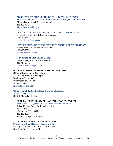# **[ADMINISTRATION FOR CHILDREN AND FAMILIES \(ACF\)](https://www.acf.hhs.gov/) [AGENCY FOR HEALTHCARE RESEARCH AND QUALITY \(AHRQ\)](https://www.ahrq.gov/)**

Allyson Brown, Small Business Specialist 202-853-7976 [Allyson.Brown@hhs.gov](mailto:Allyson.Brown@hhs.gov)

## **[CENTER FOR DISEASE CONTROL AND PREVENTION \(CDC\)](https://www.cdc.gov/)**

Gwendolyn Miles, Small Business Specialist 202-758-5124 [Gwendolyn.Miles@hhs.gov](mailto:Gwendolyn.Miles@hhs.gov)

# **[HEALTH RESOURCES AND SERVICES ADMINISTRATION \(HRSA\)](https://www.hrsa.gov/)**

Wayne Berry, Small Business Specialist 202-390-5801 [Wayne.Berry@hhs.gov](mailto:Wayne.Berry@hhs.gov)

# **[INDIAN HEALTH SERVICE \(IHS\)](https://www.ihs.gov/)**

Jonathan Ferguson, Small Business Specialist 202-740-5509, [Jonathan.Ferguson@hhs.gov](mailto:Jonathan.Ferguson@hhs.gov)

### <span id="page-28-0"></span>**H. DEPARTMENT OF HOMELAND SECURITY (DHS) Office of Procurement Operation**

Ana Rangel, Small Business Specialist 245 Murray Drive, SW Washington, DC 20528 202-447-5555 [ana.rangel@hq.dhs.gov](mailto:ana.rangel@hq.dhs.gov)

# **Office [of Small & Disadvantaged Business Utilization](https://www.hhs.gov/about/agencies/asfr/ogapa/osbdu/index.html) 202-447-5555**

DHSOSDBU@hq.dhs.gov

### **FEDERAL EMERGENCY MANAGEMENT AGENCY (FEMA)**

Acquisition Management Division [–Small Business Program](https://www.fema.gov/small-business-program) Robert Keegan, Small Business Specialist 395 E Street, SW Washington, DC 20472 202-288-4657 robert.keegan@fema.dhs.gov

# <span id="page-28-1"></span>**I. INTERNAL REVENUE SERVICE (IRS)**

**[Procurement Small Business Program Office](https://www.irs.gov/about-irs/procurement/procurement-small-business-program-office)** LaTonya D. Bowman, Small Business Specialist New Carrollton Federal Building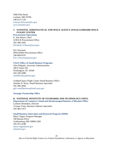5000 Ellin Road Lanham, MD 20706 240-613-7120 [Latonya.Bowman@irs.gov](mailto:Latonya.Bowman@irs.gov) [awss.sbro@irs.gov](mailto:awss.sbro@irs.gov)

# <span id="page-29-0"></span>**J. NATIONAL AERONAUTICAL AND SPACE AGENCY (NASA) GODDARD SPACE FLIGHT CENTER**

**[Procurement Operations](http://code210.gsfc.nasa.gov/procure.htm)**

E. Ann Haase, Chief GOES-R Procurement Office 301-286-3443 Elizabeth.A.Haase@nasa.gov

Eric Newman JPSS/SSMO Procurement Office 240-684-0535 [Eric.J.Newman@nasa.gov](mailto:Eric.J.Newman@nasa.gov)

### **[NASA Office of Small Business Programs](http://www.osbp.nasa.gov/)**

Glen Delgado, Associate Administration 300 E Street SW Washington, DC 20546 202-358-2088 [smallbusiness@nasa.gov](mailto:smallbusiness@nasa.gov)

Goddard Space Flight Center Small Business Office Jennifer D. Perez, Small Business Specialist 301-286-2666 gsfc-smallbusiness@mail.nasa.gov

### **[Strategic Partnership Office](https://partnerships.gsfc.nasa.gov/external-partners/collaborate-with-nasa/)**

# <span id="page-29-1"></span>**K. NATIONAL INSTITUTE OF STANDARDS AND TECHNOLOGY (NIST) [Department of Commerce Small and Disadvantaged Business Utilization Office](https://www.osec.doc.gov/osdbu/Small_Business.html)**

LaJuene Desmukes, Director Yvonne Vines, Business Industry Specialist 202-482-1472

### **[Small Business Innovation and Research Program \(SBIR\)](http://www.nist.gov/tpo/sbir/)**

Mary Clague, Program Manager 100 Bureau Drive Gaithersburg, MD 20899-2200 301-975-4188 [mary.clague@nist.gov](mailto:mary.clague@nist.gov) sbir@nist.gov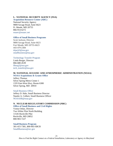### <span id="page-30-0"></span>**L. NATIONAL SECURITY AGENCY (NSA)**

**[Acquisition Resource Center](https://www.nsa.gov/business/acquisition-resource-center/) (ARC)**

National Security Agency 9800 Savage Road, Suite 6623 Ft. Meade, MD 20755 866-914-6272 [nsaarc@nsaarc.net](mailto:nsaarc@nsaarc.net)

### **[Office of Small Business Programs](https://www.nsa.gov/business/small-business-office/)**

Scott Jackson, Director 9800 Savage Road, Suite 6623 Fort Meade, MD 20755-6623 443-479-2384 dsjack3@nsa.gov smallbusiness@nsa.gov

[Technology Transfer Program](https://www.nsa.gov/what-we-do/research/technology-transfer/) Linda Burger, Director 866-680-4539 [llburg2@nsa.gov](mailto:llburg2@nsa.gov) [tech\\_transfer@nsa.gov](mailto:tech_transfer@nsa.gov)

## <span id="page-30-1"></span>**M. NATIONAL OCEANIC AND ATMOSPHERIC ADMINISTRATION (NOAA)**

**[NOAA Acquisitions & Grants Office](http://www.ago.noaa.gov/)** Jeffery Thomas Silver Spring Metro Center 1 1335 East-West Hwy, Room 6300 Silver Spring, MD 20910

[Small Business Office](https://www.noaa.gov/organization/acquisition-grants/small-business) Jeffery D. Hale, Small Business Director Natalie A. Colbert, Small Business Officer NOAASB@noaa.gov

# <span id="page-30-2"></span>**N. NUCLEAR REGULATORY COMMISSION (NRC)**

**[Office of Small Business and Civil Rights](http://www.nrc.gov/about-nrc/organization/sbcrfuncdesc.html)**

Vonna Ordaz, Director Two White Flint North Building 11545 Rockville Pike Rockville, MD 20852 800-903-7227

**[Small Business Program](http://www.nrc.gov/about-nrc/contracting/small-business.html)** 301-415-7381, 800-903-SBCR SmallBusiness@nrc.gov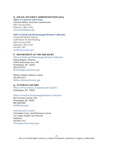### <span id="page-31-0"></span>**O. SOCIAL SECURITY ADMINISTRATION (SSA)**

**[Office of Contracts and Grants](https://www.ssa.gov/oag/)**

Christian Hellie, Associate Commissioner 6401 Security Blvd. Baltimore, MD 21244 [christian.hellie@ssa.gov](mailto:christian.hellie@ssa.gov)

### **[Office of Small and Disadvantaged Business Utilization](https://www.ssa.gov/agency/osdbu/#&ht=0)**

Wayne McDonald, Director 1540 Robert M. Ball Building 6401 Security Blvd. Baltimore, MD 21244 410-965-7467 [smallbusiness@ssa.gov](mailto:smallbusiness@ssa.gov)

## <span id="page-31-1"></span>**P. DEPARTMENT OF THE TREASURY**

[Office of Small and Disadvantaged Business Utilization](https://www.treasury.gov/about/organizational-structure/offices/Mgt/Pages/dcfo-osdbu-contacts-osdbu.aspx) Donna Ragucci, Director 1500 Pennsylvania Ave. NW Washington, DC 20220 202-622-6551 [Donna.Ragucci@treasury.gov](mailto:Donna.Ragucci@treasury.gov)

Melissa Jenkins, Industry Liaison 202-662-8213 [Melissa.Jenkins@treasury.gov](mailto:Melissa.Jenkins@treasury.gov)

### <span id="page-31-2"></span>**Q. VETERANS AFFAIRS**

[Office of Procurement, Acquisition and Logistics](https://www.va.gov/opal/fo/dbwva.asp) Washington, DC 20420

[Office of Small & Disadvantaged Business Utilization](https://www.va.gov/osdbu/about/contacts.asp)

810 Vermont Avenue, NW Washington, DC 20420 800-949-8387 [OSDBU@va.gov](mailto:OSDBU@va.gov)

### [Small Business Liaisons](https://www.va.gov/osdbu/about/contacts.asp#sbl)

Christopher Jones, Small Business Liaison VA Capital Health Care Network Baltimore 410-691-7312 [Christopher.Jones74@va.gov](mailto:Christopher.Jones74@va.gov)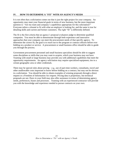# <span id="page-32-0"></span>**IV. HOW TO DETERMINE A "FIT" WITH AN AGENCY'S NEEDS**

It is not often that a solicitation comes out that is just the right project for your company. An opportunity may meet your financial goals in terms of new business, but the more important question is: "Are my team and company's capabilities appropriate for this solicitation?" Everyone tailors a résumé to fit with what an employer is looking for, and the same is true for detailing skills and current and former customers. The right "fit" is differently defined.

The fit is the first criteria that an agency's proposal evaluators judge to determine qualified companies. You must be able to demonstrate through both experience and innovative approaches that your company can meet the procurement needs of that specific agency. To determine the correct fit, the goal is to reach out to the program or contract officers before ever bidding on a product or service. A procurement or small business office should be able to guide you through the process.

Government procurement personnel and small business specialists should be able to suggest some disciplines or skills that you may want to acquire, which your business may not have. Teaming with small or large business may provide you with additional capabilities that meet the opportunity requirements. An agency solicitation may require specialized equipment, ties to a certain geographic area or other credentials.

There may be special rules about pricing – *e.g.*, use of part-time workers, consultants, travel and other unallowable costs important to know before bidding on a contract, but may not be obvious in a solicitation. You should be able to obtain examples of winning proposals through a direct request or a Freedom of Information Act request. Pricing data is proprietary, but technical proposals are not. Peers in your field may also offer assistance in terms of determining agency needs, preferences, biases and processes. Teaming with an experienced contractor will provide you with the knowledge and experience needed to pursue contracts on your own.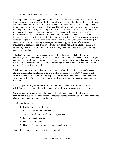### <span id="page-33-0"></span>**V. HOW TO DECIDE WHAT "NOT" TO BID ON**

Deciding which proposals not to bid on can be critical in terms of valuable time and resources. Many businesses put a great deal of effort into a bid and proposal that they are likely not to win. But how do you know? Most solicitations include a pre-bid conference, a means to gain insight into the bid process and contract specifications. Through these conferences, you may learn who the competitors are. In turn, these competitors may offer potential partnering opportunities. Use this opportunity to present your own questions. The agency will make a transcript of all questions and supply the answers to all bidders. Obvious questions include: "Is there an incumbent?" and "Is the incumbent eligible to bid on this solicitation?" For instance, is it a setaside for an 8(a) or other socio-economic classification (GSA and SBA Small Disadvantaged Business certifications providing advantages for contract opportunities)? If there is an incumbent, ask around to see if the project work they conducted met the agency's needs in a satisfactory manner. If there is an incumbent, and they have been doing a good job, you may consider not bidding.

It is also important to determine exactly what credentials the agency is looking for in a contractor, ie. 8-A, HUB Zone, Service-Disabled Veteran or Women-Owned companies. If your company cannot fully meet requirements, you may be able to team with another bidder to present a more unified proposal, with each company bringing different strengths. If your strengths are marginal for your firm - do not bid.

It is important to be on the lookout for deal breakers. Carefully check the past performance, staffing, personnel and evaluation criteria as well as the scope of work (SOW) requirements. Make a realistic assessment of your strengths and weaknesses. You may be able to overcome weak areas by hiring individuals or teaming with firms who have the capability your company may lack.

Keep a paper trail of your bid in case you or other bidders wish to protest an award. Request a debriefing from the contracting officer to determine why your proposal was unsuccessful.

Look for large prime contractors who may need to subcontract and are looking for a small/minority business teaming partner or subcontractors to meet their small or socio-economic classification goals stipulated by a solicitation.

In all cases, be sure to:

- 1. Meet the prospective buyers
- 2. Plan for their future requirements
- 3. Assess pre-solicitation/ solicitation requirements
- 4. Review evaluation criteria
- 5. Have the right experience
- 6. Have the time or capacity to prepare a quality response.

If any of these points cannot be satisfied - do not bid.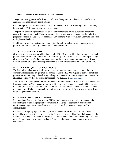# <span id="page-34-0"></span>**VI. HOW TO FIND AN APPROPRIATE OPPORTUNITY**

The government applies standardized procedures to buy products and services it needs from suppliers who meet certain qualifications.

Contracting officials use procedures outlined in the Federal Acquisition Regulation, commonly known as the FAR, to guide government purchases.

The primary contracting methods used by the government are: micro-purchases; simplified acquisition procedures; sealed bidding; contract by negotiations; and consolidated purchasing programs, such as the use of GSA schedules, Government-Wide Acquisition Contracts and other multiple award vehicles.

In addition, the government supports innovation through formal cooperative agreements and grants to promote technology transfer and commercialization.

# <span id="page-34-1"></span>**A. CREDIT CARD PURCHASES**

Government purchases of individual items under \$10,000 are considered micro-purchases. Such government buys do not require competitive bids or quotes and agencies can simply pay using a Government Purchase Card or credit card, without the involvement of a procurement officer. Seventy percent of all government procurement transactions are facilitated with a credit card.

# <span id="page-34-2"></span>**B. SIMPLIFIED AQUISITION PROCEDURES**

The Federal Acquisition Streamlining Act and other statutory amendments removed many competition restrictions on government purchases under \$250,000. Agencies can use simplified procedures for soliciting and evaluating bids up to \$250,000. Government agencies, however, are still required to advertise all planned purchases over \$25,000 in [beta.SAM.gov](https://beta.sam.gov/).

Simplified acquisition procedures require fewer administrative details, fewer approval levels, and less documentation. The procedures require all federal purchases greater than \$10,000 and less than \$250,000 to be reserved for small businesses. This small business set-aside applies, unless the contracting official cannot obtain offers from two or more small firms who are competitive on price, quality and delivery.

### <span id="page-34-3"></span>**C. UNDERSTANDING SOLICITATIONS**

In evaluating a Request for Information (RFI) or solicitation, it is important to understand the different types of bid and proposal opportunities. Each type of opportunity has different requirements, regulations, timetables, and contact points that create advantages and/or disadvantages.

Consider investigating agencies that may have a vehicle for unsolicited proposals. After thoroughly researching the agency, determine if your business could address their needs or solve a problem that they do not even know about. Do you have the innovation, technology, products or services that could be of value to share? A successful outcome could result in a formal solicitation.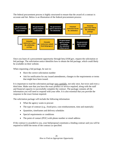The federal procurement process is highly structured to ensure that the award of a contract is accurate and fair. Below is an illustration of the federal procurement process:



Once you learn of a procurement opportunity through beta.SAM.gov, request the solicitation or bid package. The solicitation notice identifies how to obtain the bid package, which could likely be available on their website.

When requesting a bid package, be sure to:

- Have the correct solicitation number
- Ask for notification for any issued amendments, changes to the requirements or terms that might have been issued.

It is important to read the solicitation package very carefully, not only once, but twice and even a third time. Make sure that you have the exact product or service required, along with the staff and financial capacity to successfully complete the contract. The package contains all the information you will need to respond with your offer. It is also essential that you provide the response in the exact format required.

The solicitation package will include the following information:

- What the agency wants to procure
- The type of contract  $(e.g., fixed-price, cost-reimburst, time and materials)$
- Quantities, timeframes and delivery schedules
- Special requirements or conditions
- The point of contact (POC) with phone number or email address

If the contract is awarded to you, your bid/proposal constitutes a binding contract and you will be required to fulfill the terms of the contract as specified.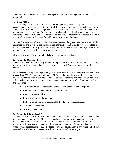The following are descriptions of different types of solicitation packages and small business opportunities.

## **1. Sealed Bidding**

Sealed bidding is how the government contracts competitively when its requirements are clear, accurate and complete. An Invitation for Bid (IFB) is the method used for the sealed bid process. Typically, an IFB includes a description of the product or service to be acquired, instructions for preparing a bid, the conditions for purchase, packaging, delivery, shipping, payment, contract clauses to be included and the deadline for submitting bids. Each sealed bid is opened in a public forum, where prices are displayed for public viewing at the purchasing office.

An award is made to the lowest bidder who is responsive to the government needs, meets all the specifications and is responsible, reputable and financially sound. If the lowest bid is judged too low to be reasonable or the government has documented in the solicitation package "other pricerelated factors," it will influence the award decision.

Government-wide IFBs are available daily for review at [beta.SAM.gov](https://beta.sam.gov/).

## **2. Request for Quotation (RFQ)**

The federal government uses RFQs in order to request information and pricing with no pending request to purchase commercial products and services. An RFQ may or may not result in a contract.

RFQs are used in simplified acquisitions, *i.e*., a streamlined process for procurements that do not exceed \$100,000. Contract awards based on RFQs usually go to the lowest bidder, but not always. Buyers are often allowed to analyze the quotes and award a contract based on best value. When evaluating best value in an RFO, buyers may consider, among other things, any or all of the following:

- Ability to provide special features of the product or service that is required
- Environmental and energy efficiency considerations
- Maintenance availability
- Past performance of the supplier
- Probable life of an item as compared to the life of a comparable product
- Trade-in considerations
- Warranty considerations

## **3. Request for Information (RFI)**

An RFI is usually an effort to ascertain whether companies exist that may have relevance to what the government is looking for. RFI is issued solely for information and planning purposes – it does not constitute a Request for Proposal or a promise to issue an RFP in the future. This request for information does not commit the government to contract for any supply or service whatsoever. Not responding to this RFI does not preclude participation in any future RFP, if any is issued. If a solicitation is released, it will be synopsized in beta.SAM.gov.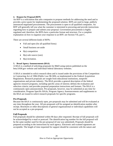#### **4. Request for Proposal (RFP)**

An RFP is a solicitation that asks companies to propose methods for addressing the need and to provide a price quote for implementing the proposed solution. RFPs are used in large, publicly announced negotiated procurements. The procurement is open to all qualified companies. An RFP will generally tell you what the customer is interested in procuring and provide instructions regarding how to prepare and submit your proposal. Government procurement is highly regulated and, therefore, the RFPs have a particular format and structure. For a complete explanation on how to organize your response to an RFP, see Section VII, part C.

There are several different kinds of RFPs:

- Full and open (for all qualified firms)
- Small business set-aside
- $\bullet$  8(a) competitive
- 8(a) sole source (rare)
- $\bullet$  8(a) invitation.

#### **5. Broad Agency Announcements (BAA)**

A BAA is a method of soliciting proposals for R&D using notices published on the beta.SAM.gov website and individual federal laboratory websites.

A BAA is intended to solicit research ideas and is issued under the provisions of the Competition in Contracting Act of 1984 (Public Law 98-369), as implemented in the Federal Acquisition Regulations. Research proposals are sought from educational institutions, nonprofit organizations and private industry. The BAA provides a general description of the federal agencies research programs, including specific areas of interest; defines the evaluation and selection criteria; and provides proposal preparation instructions and formats. The BAA is a continuously open announcement. Pre-proposals, however, may be submitted at any time for consideration. Program Specific BAAs, Program Agency Announcements and supplements to the BAA are issued to solicit research proposals for specific programs.

#### **Pre-Proposals**

Because the BAA is continuously open, pre-proposals may be submitted and will be evaluated at any time throughout the year. All pre-proposals will be assigned an identification number after receipt. Brochures or other descriptions of general organizational or individual capabilities will not be accepted as a pre-proposal.

#### **Full Proposals**

Full proposals should be submitted within 90 days after requested. Receipt of full proposals will be acknowledged by e-mail or postcard. The identification log number for the full proposal will be the same number used for the pre-proposal (if one was submitted). Proposals should be prepared according to the instructions by each agency. Electronic and scanned signatures are acceptable. The length of time requested for support should be consistent with the nature and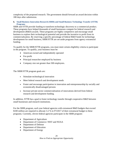complexity of the proposed research. The government should forward an award decision within 180 days after submission.

## **6. [Small Business Innovation Research \(SBIR\) and Small Business Technology Transfer \(STTR\)](https://www.sbir.gov/about)  [Programs](https://www.sbir.gov/about)**

SBIR and STTR provide funding to transform technologic discovery to a commercial product. These programs have helped thousands of small businesses compete for federal research and development (R&D) awards. These programs are highly competitive and encourage small business to explore their technological potential and provide the incentive to profit from its commercialization. By reserving a specific percentage of federal R&D funds for technology development for small business, SBIR/STTR are set-aside programs from agency extramural funding.

To qualify for the SBIR/STTR programs, you must meet certain eligibility criteria to participate in the program. To qualify, your business must be:

- American-owned and independently operated
- For-profit
- Principal researcher employed by business
- Company size not greater than 500 employees.

The SBIR/STTR program goals are:

- Stimulate technological innovation
- Meet federal research and development needs
- Foster and encourage participation in innovation and entrepreneurship by socially and economically disadvantaged persons
- Increase private-sector commercialization of innovations derived from federal research and development funding.

In addition, STTR has a goal to foster technology transfer through cooperative R&D between small businesses and research institutions.

For the SBIR program, each year federal agencies with extramural R&D budgets that exceed \$100 million are required to allocate 3.2 % in FY2017 of their extramural budget to these programs. Currently, eleven federal agencies participate in the SBIR program:

- Department of Agriculture
- Department of Commerce: NIST and NOAA
- Department of Defense
- Department of Education
- Department of Energy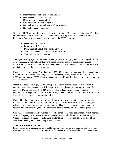- Department of Health and Human Services
- Department of Homeland Security
- Department of Transportation
- Environmental Protection Agency
- National Aeronautics and Space Administration
- National Science Foundation

Under the STTR program, federal agencies with extramural R&D budgets that exceed \$1 billion are required to reserve .45% in FY2017 of this research budget for STTR awards to small businesses. Currently, five agencies participate in the STTR program:

- Department of Defense
- Department of Energy
- Department of Health and Human Services
- National Aeronautics and Space Administration
- National Science Foundation

These participating agencies designate R&D topics and accept proposals. Following submission of proposals, agencies make SBIR awards based on small business qualification, degree of innovation, technical merit, and future market potential. Small businesses that receive awards or grants then begin a three-phase program:

**Phase I** is the startup phase. Awards of up to \$250,000 support exploration of the technical merit or feasibility of an idea or technology. Phase I projects typically have a six-month period for SBIR and one year for STTR of performance. Successful Phase I recipients are invited to submit Phase II proposals.

**Phase II** awards of up to \$1,500,000, for up to two years, expand Phase I results. Phase II contracts enable recipients to establish the proof of principle and produce a prototype of their concepts. During this time, the R&D work is performed and the developer evaluates commercialization potential. The SBIR/STTR only considers Phase I award winners for Phase II. Phase II projects typically run for 24 months.

**Phase III** is the period during which Phase II innovation moves from the laboratory into the marketplace. No SBIR/STTR funds support this phase. Your business must find funding in the private sector or other non-federal agency funding. Therefore, you must develop a marketing strategy and plan for taking the SBIR-developed product/technology to the marketplace.

SBIR/STTR funds are usually awarded at specific times of the year, determined by each agency. Also, each agency determines the size of the award and length of time to complete each phase. Check each agency's website to determine deadlines for proposal submission, the size of the award and the length of time to complete each phase.

#### **7. Small Business Set-Asides**

Small business set-asides are a powerful tool for helping small businesses compete for and win federal contracts. Every year, the federal government purchases approximately \$400 billion in goods and services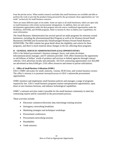from the private sector. When market research concludes that small businesses are available and able to perform the work or provide the products being procured by the government, those opportunities are "setaside" exclusively for small business concerns.

There are many different types of set-asides. Some are open to all small businesses; others are open only to small businesses with certain socioeconomic designations. In addition, there are sole source development opportunities under the 8(a) program and sole source conditional opportunities under the HUBZone, SDVOSB, and WOSB programs. Refer to Section II, *How to Define your Capabilities*, for more information.

The Small Business Administration has several special set-aside programs for minority-owned businesses, including the aforementioned 8(a) Program as well as for Women-Owned Small Businesses (WOSB) and Economically Disadvantaged Women-Owned Small Business (EDWOSB). The SBA website has great detail about the eligibility and criteria for these programs, and there is much material about changes in the law affecting these programs.

## **D. GENERAL SERVICES ADMINISTRATION (GSA) OPPORTUNITIES**

GSA is the federal government's business manager, buyer, real estate developer, telecommunications manager, and IT solutions provider. GSA offers businesses the opportunity to sell billions of dollars' worth of products and services to federal agencies through contract vehicles. GSA advertises locally and nationally. All GSA contracting opportunities over \$25,000 are advertised on beta.SAM.gov. GSA offers resources and means to pursue solicitations.

#### **1. Office of Small Business Utilization (OSBU)**

GSA's OSBU advocates for small, minority, veteran, HUB Zone, and women business owners. The office's mission is to promote increased access to GSA's nationwide procurement opportunities.

OSBU monitors and implements small business policies and manages a range of programs required by law. GSA's small business programs nurture entrepreneurial opportunities, open doors to new business horizons, and enhance technological capabilities.

OSBU's outreach activities make it possible for the small business community to meet key contracting experts and be counseled on the procurement process.

These activities include:

- Electronic commerce/electronic data interchange training sessions
- Interagency networking breakfasts
- Marketing strategies and techniques workshops
- Procurement conferences
- Procurement networking sessions
- Roundtables
- Trade missions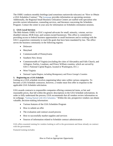The OSBU conducts monthly briefings (and sometimes nationwide telecasts) on "How to Obtain a GSA Schedules Contract." The [homepage](http://www.gsa.gov/smallbusiness) provides information on upcoming sessions. Additionally, the Regional Small Business Utilization Centers are staffed with specialists who provide current information, counseling services, and literature concerning the Schedules Program. Contact the center in your area for information on Schedules orientation sessions.

## **2. GSA Local Services**

The Mid-Atlantic OSBU is GSA's regional advocate for small, minority, veteran, servicedisabled veteran, HUB Zone, and women-owned businesses. This office is committed to providing access to federal business opportunities to small businesses and to working with the GSA's acquisition community to reach the goals that have been mandated by law. The office serves the business community in the following regions:

- Delaware
- Maryland
- Commonwealth of Pennsylvania
- Southern New Jersey
- Commonwealth of Virginia (excluding the cities of Alexandria and Falls Church, and Arlington, Fairfax, Loudoun, and Prince William counties, which are served by GSA's National Capital Region, located in Washington, D.C.)
- West Virginia
- National Capital Region, including Montgomery and Prince George's Counties

## **3. Registering on a GSA Schedule**

Getting on a GSA schedule involves negotiating labor rates within various categories. To become a GSA Schedule contractor, however, a vendor must first offer in response to the applicable GSA Schedule solicitation.

GSA awards contracts to responsible companies offering commercial items, at fair and reasonable prices, that fall within the generic descriptions in the GSA Schedule solicitations. In order to fully understand the process, GSA recommends that all vendors review information on its webpage, ["Getting Started with GSA Schedules."](http://www.gsa.gov/portal/content/202573) Within the site, prospective vendors can obtain valuable, decision-making information:

- Various features of the GSA Schedules Program
- How to submit an offer
- The evaluation and contract award process
- How to successfully market supplies and services
- Sources of information related to Schedule contract administration

GSA offers essential training for vendors looking to sell to the government and those already on contract with the government.

Featured training includes: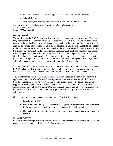- On-site Schedules contract training, targeted specifically to small business
- Scheduled webinars
- Web-based, self-learning modules found at the Vendor Support Center

For information on scheduled workshops in Maryland, please contact: [Vendor Support Center](mailto:vendor.support@gsa.gov) Phone: (877) 495-4849

## **Getting Started**

To start, identify the GSA Schedule solicitation that covers your supplies or services. This step may be accomplished in several ways. One is to review the GSA Schedule Solicitations link to determine the applicable GSA Schedule and corresponding solicitation number under which the supplies or services may be offered. Click on the appropriate Solicitation Number to link directly to the solicitation files in beta.SAM.gov. Download the solicitation and follow the instructions in the document. The GSA Schedule Solicitations page also identifies those Schedules that accept offers using eOffer, a web-based application that allows vendors to prepare and submit their GSA Schedule offers electronically. Also, investigate the GSA Contract Teaming Agreement (CTA) which is a great means for small businesses to participate in large contracts (*i.e.*, bundled solicitations) and generate revenue against their respective GSA schedules.

Another way is to search [Schedules e-Library](http://www.gsaelibrary.gsa.gov/ElibMain/ElibHome) by keyword to identify supplies or services covered by GSA Schedules. Click on the box, "Vendors: Click here to view the current solicitation on beta.SAM.gov." Download the solicitation and follow the instructions in the document.

You can also review the [Federal Supply Schedule Listing](http://www.gsaelibrary.gsa.gov/ElibMain/ScheduleList) in Schedules e-Library to determine the applicable GSA Schedule under which the supplies or services may be offered. Click on any Schedule number under the "Source" column to view descriptions of the generic categories of supplies or services under each Schedule. Click on the box, "Vendors: Click here to view the current solicitation on beta.SAM.gov." Download the solicitation and follow the instructions in the document. Finally, you can visit beta.SAM.gov to obtain a copy of the GSA Schedule solicitation.

Other helpful hints to assist vendors in obtaining a GSA Schedule contract:

- Register in the [SAM](https://www.sam.gov/SAM/)
- Obtain an Open Ratings, Inc. reference check (see Past Performance Evaluation form in the solicitation) and make sure your company is financially sound
- Complete all information in the solicitation and be ready to negotiate your company's best offer.

## **E. AGREEMENTS**

Outside of the regular procurement process, there are other mechanisms to partner with a federal agency and to access technologies and facility resources.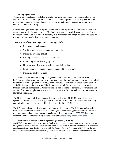#### **1. Teaming Agreements**

Teaming agreements are established when two or more companies form a partnership or joint venture to act as a potential prime contractor; or a potential prime contractor agrees with one or more other companies to have them act as its subcontractor under a specified government contract or acquisition program.

Subcontracting or teaming with a prime contractor can be a profitable experience as well as a growth opportunity for your business. If, after assessing the capabilities and capacity of your business you conclude that you are not ready to bid competitively for prime contracts, consider the opportunities available through subcontracting.

The many benefits of teaming or subcontracting include:

- Increasing annual revenue
- Working on large government procurements
- Increasing working capital
- Gaining experience and past performance
- Expanding and/or diversifying products
- Networking to develop strong business relationships
- Realizing advancements in management and technical skills
- Increasing contract awards.

You can search for federal teaming arrangements on the beta.SAM.gov website. Small businesses seeking federal procurements can search, monitor and retrieve opportunities solicited by the entire federal government through beta.SAM.gov. The Small Business Administration's SUB-Net is another site where small businesses can search for procurement opportunities through teaming arrangements. Prime contractors post teaming solicitations, opportunities and Notice of Sources Sought on the [SUB-Net site.](https://eweb1.sba.gov/subnet/client/dsp_Landing.cfm) The [SAM](http://www.sam.gov/) is also an excellent resource to search for teaming partners.

The Office of Small and Disadvantaged Business Utilization (OSDBU) or small business specialists located in each federal agency has information about how to market your company and to find teaming arrangements. Find the listing of all the OSDBUs [here](http://www.osdbu.gov/).

The SBA maintains a list of subcontracting opportunity contacts. The information is obtained through the names and addresses from the listing of subcontracting plans that are submitted to the government when a large business receives a federal contract over \$650,000. For more information about subcontracting contacts, visit the [subcontracting opportunities page](https://www.sba.gov/document/support--directory-federal-government-prime-contractors-subcontracting-plans).

## **2. Collaborative Research and Development Agreements (CRADA)**

A CRADA is not an acquisition instrument (such as grants, contracts, and cooperative agreements), but is an agreement between a federal laboratory and a non-federal party to perform collaborative research and development in any area that is consistent with the federal laboratory's mission. CRADAs are the most frequently used mechanism for formalizing interactions and partnerships between private industry and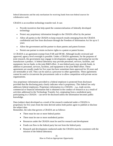federal laboratories and the only mechanism for receiving funds from non-federal sources for collaborative work.

CRADA is an excellent technology transfer tool. It can:

- Provide incentives that help speed the commercialization of federally developed technology
- Protect any proprietary information brought to the CRADA effort by the partner
- Allow all parties to the CRADA to keep research results emerging from the CRADA confidential and free from disclosure through the Freedom of Information Act for up to 5 years
- Allow the government and the partner to share patents and patent licenses
- Permit one partner to retain exclusive rights to a patent or patent license.

A CRADA is an agreement exempt from FAR and DFAR. Although locally reviewed and approved, agency level oversight is possible. Under a CRADA agreement, for the purposes of joint research, the government may engage in development, engineering, and testing but not the manufacture a product. A federal laboratory may provide personnel, services, facilities, and equipment, but no funds, to the joint R&D effort. A non-federal party may provide funds, in addition to personnel, services, facilities, and equipment to the joint R&D effort. These agreements are usually made for five years but have sometimes been approved for 20 years and are terminable at will. They can be used as a precursor to other agreements. These agreements cannot be used to circumvent the procurement code or to allow competition with private sector organizations.

Any proprietary information provided to a federal employee is protected from disclosure provided that the disclosing party clearly indicates what is proprietary. This federal law only addresses federal employees. Proprietary information in a CRADA – *e.g.*, trade secrets, commercial or financial information that is obtained in the conduct of research or as a result of activities addressed in the Technology Transfer Act, originating from a nonfederal party participating in a CRADA – can never be disclosed unless the information becomes public knowledge.

Data (subject data) developed as a result of the research conducted under a CRADA is proprietary for five years from the time derived unless both parties agree to publish or disclose the subject data.

Remember, the rules that govern a CRADA are as follows:

- There must be one or more federal parties
- There must be one or more nonfederal parties
- Resources under the CRADA must be used for research and development
- Funds can flow to the federal party but not from the federal party
- Research and development conducted under the CRADA must be consistent with the mission of the federal laboratory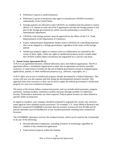- Preference is given to small businesses
- Preference is given to businesses that agree to manufacture CRADA inventions substantially in the United States
- Foreign partners are allowed to enter CRADAs on condition that the partner's country allows U.S. entities to enter into  $R \& D$  agreements and that the foreign partner is not part of the foreign government (in which case the partnership is covered by an International Agreement)
- CRADAs with foreign partners must be approved by the Office of the U.S. Trade Representative in the Department of Commerce
- Export Administration Regulations further restrict CRADAs by controlling materials that can be shipped to a foreign government, regardless of the status of the foreign partner
- Intellectual property rights in existence prior to collaboration are retained by the owner of those rights, while any rights to intellectual property newly created under the CRADA (called subject inventions) are negotiated on a case-by-case basis.

## **3. Patent License Agreements (PLA)**

A PLA is an agreement between a federal laboratory and a non-federal organization. The PLA agreement allows a nonfederal organization to enter into an agreement (exclusive, partially exclusive, or nonexclusive license) for the use of federal government-owned or assigned patent applications, patents, or other intellectual property (*e.g.*, software, copyrights, *etc*.).

A PLA offers you access to intellectual property already developed by a federal laboratory. This access will save you the expense and time doing the developmental research yourself. This approach frees your resources so they can be used to apply the federal government's intellectual property for your own commercial purposes.

The terms of the license follow commercial practice and can include initial payments, progress payments, running royalties, minimum royalties and pass-through royalties on sublicense income. Performance milestones are often required. Federal patent licenses are often limited to specific fields of protection.

In regard to royalties, your company should be prepared to negotiate the royalty rate; however, some agencies have standard royalty provisions. For example, U.S. Army Medical Research and Materiel Command (USAMRMC) provides that the inventor receives the first \$2,000 and 20 percent thereafter up to \$150,000/year of any royalties/payments resulting from commercial licensure.

The USAMRMC laboratory receives the residual income, which can be used by the Commander to do any of the following:

- Reward laboratory employees, including inventors of technology regardless of whether it has commercial application
- Fund research projects within the institute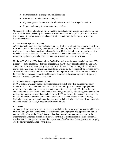- Further scientific exchange among laboratories
- Educate and train laboratory employees
- Pay the expenses incidental to the administration and licensing of inventions
- Support technology transfer marketing activities

Occasionally, federal laboratories will protect the federal patent in foreign jurisdictions, but this is most often accomplished by the licensee. Locally reviewed and approved, the funds received from a patent license agreement are shared with the inventor and the laboratory where the invention was made.

## **4. Test Service Agreements (TSA)**

A TSA is a technology transfer mechanism that enables federal laboratories to perform work for hire. Title 10 U.S. Code 2539(b) authorizes federal laboratory directors and commanders to make testing services available to private industry. Under a TSA, a federal laboratory performs a test or technical service for a fee. The fee must cover all direct and indirect costs. Materials, processes, equipment, models, devices, computer software, *etc*., may all be tested.

Unlike a CRADA, the TSA is not a joint R&D effort. All inventions and data belong to the TSA partner; for some companies, this type of agreement may be more appealing than the CRADA. TSAs must involve some unique government capability and no "undue competition" with the private sector. A simple statement in a cover letter, written by the recipient of the services, serves as a certification that the conditions are met. A TSA requires minimal effort to execute and can be enacted in a reasonably short time. Because a TSA is an abbreviated agreement it typically consists of several pages and a cover letter.

## **5. Material Transfer Agreements (MTA)**

MTA is utilized when any proprietary material is exchanged, and when the receiving party intends to use it for his/her own research purposes. Neither rights in intellectual property nor rights for commercial purposes may be granted under this agreement. MTAs define the terms and conditions under which the recipients of materials, provided by either the government or the other party, may use the materials. Included in the MTA are the requirements that the materials be used for research purposes only and that the materials cannot be used in human testing. Federal agencies require that all materials received by their scientists originating from humans be collected under 45 CFR 46, Protection of Human Subjects.

#### **6. Grants**

A grant is a legal instrument used to enter into a relationship, the principal purpose of which is to transfer a thing of value to the recipient to carry out a public purpose of support or stimulation authorized by a law of the United States, rather than to acquire property or services for the Department of Defense's direct benefit or use. Further, it is a relationship in which substantial involvement is not expected between the Department of Defense and the recipient when carrying out the activity contemplated by the grant.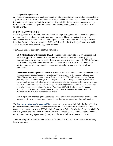#### **7. Cooperative Agreements**

A cooperative agreement is a legal instrument used to enter into the same kind of relationship as a grant except that substantial involvement is expected between the Department of Defense and the recipient when carrying out the activity contemplated by the cooperative agreement. The term does not include "cooperative research and development agreements" as defined in 15 U.S.C. §3710a.

#### **F. CONTRACT VEHICLES**

Federal agencies use a number of contract vehicles to procure goods and services in a quicker manner than the usual government procurement process. These contracts often provide goods and services across many federal agencies. Agencies may utilize the GSA's Multiple Awards Schedule Contracts (also known as the GSA or Federal Supply Schedule), Government Wide Acquisition Contracts, or Multi-Agency Contracts.

The GSA describes these three contract vehicles as:

**GSA Multiple Award Schedule (MAS)** contracts, also referred to as GSA Schedule and Federal Supply Schedule contracts, are indefinite delivery, indefinite quantity (IDIQ) contracts that are available for use by federal agencies worldwide. Under the MAS Program, GSA enters into government wide contracts with commercial firms to provide over 11 million commercial supplies and services. Agencies place orders directly with MAS contractors.

**Government Wide Acquisition Contracts (GWACs)** are pre-competed task order or delivery order contracts for information technology established by one agency for government wide use. Each GWAC is operated by an executive agent designated by the Office of Management and Budget (OMB) pursuant to section 5112(e) of the Clinger-Cohen Act. Through this vehicle, the federal government can buy cost-effective, innovative solutions for information technology. It provides access to IT solutions such as systems design, software engineering, information assurance, and enterprise architecture solutions. The three GWACs are GSA, NIH Information Technology Acquisition and Assessment Center (NITAAC) and NASA's Solutions for Enterprise-Wide Procurement (SEWP). See below for more details.

**Multi-Agency Contracts (MACs)** are task order or delivery order contracts established by one agency for use by government agencies to obtain a variety of supplies and services.

The **[Interagency Contract Directory \(ICD\)](http://contractdirectory.gov/contractdirectory)** is a central repository of Indefinite Delivery Vehicles (IDV) awarded by the federal agencies where the IDV is available for use at both the intraagency and interagency levels. IDVs include Government-Wide Acquisition Contracts (GWAC), Multi-Agency Contracts, Other Indefinite Delivery Contracts (IDC), Federal Supply Schedules (FSS), Basic Ordering Agreements (BOA), and Blanket Purchase Agreements (BPA).

The following information is about various schedules, GWACs and MACs that are offered by federal agencies.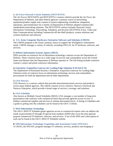## **1. [Air Force Network-Centric Solutions \(NETCENTS\)](http://www.netcents.af.mil/contracts)**

The Air Force's NETCENTS and NETCENTS-2 contract vehicles provide the Air Force, the Department of Defense, and other federal agencies a primary source of networking equipment/product supply and a means of system engineering, installation, integration, operations, and maintenance for a family of Department of Defense adopted commercially standardized networking solutions. The NETCENTS contract includes Network-Centric Information Technology, Networking, Telephony and Security (NCITNTS) Voice, Video and Data Communications including Commercial-off-the-Shelf products, system solutions and systems hardware and software.

#### **2. [U.S. Army Computer Hardware, Enterprise Software and Solutions \(CHESS\)](https://www.eis.army.mil/programs/chess)**

The CHESS program is the Army's primary source to support the Warfighters's information needs. CHESS manages a variety of vehicles, including ITES-2S, for IT hardware, software, and services.

#### **3. [Defense Information Systems Agency \(DISA\)](https://storefront.disa.mil/kinetic/disa/service-catalog#/forms/contracting)**

DISA provides an extensive list of information technology contracts across the Department of Defense. These contracts focus on a wide range of services and commodities across the United States and theatres that the Department of Defense operates in. The full listing includes extensive contract, contact and prime contractor information.

## **4. [Enterprise Acquisition Gateway for Leading Edge Solutions II \(EAGLE II\)](https://www.dhs.gov/eagle-ii-it-solutions)**

The Department of Homeland Security's Enterprise Acquisition Gateway for Leading Edge Solutions series of contracts focus on information technology services and commodities procurement for both the department and all other departments.

#### **5. [GSA Networx](http://www.gsa.gov/networx)**

GSA Networx is a contract vehicle that provides telecommunications services and products across many federal agencies. The vehicle consists of two contracts, Networx Universal and Networx Enterprise, which provide a broad range of services, coverage, and solutions.

#### **6. [GSA Schedules](http://www.gsa.gov/portal/category/100611)**

Also known as Multiple Award Schedules (MAS), GSA manages a vast number of long-term government wide contracts with commercial firms that provide agencies access to over 11 million commercial supplies and services at volume-discounted prices. A listing of schedules and a guide to getting onto the schedules can be found at the GSA's website.

#### **7. [MAS Information Technology](https://www.gsa.gov/technology/technology-purchasing-programs/mas-information-technology)**

The GSA's MAS IT Schedule grants agencies access to commercial experts who can address the needs of government IT through 20 special item numbers (SINS) that cover the most generalpurpose commercial IT hardware, software, and services. A list of the SINS and a description of each can be found at the GSA's MAS IT Schedule website.

#### **8. [NIH Information Technology Acquisition and Assessment Center \(NITAAC\)](https://nitaac.nih.gov/)**

A GWAC**,** the NITAAC program manages IT solutions, services, products and imaging to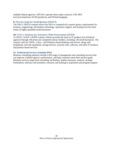multiple federal agencies. NITAAC operates three major contracts: CIO-SP2i (services/solutions), ECSII (products), and IW2nd (imaging).

## **9. [NSA Set-Aside for Small Business \(NSETS\)](http://www.nsa.gov/business/programs/nsets.shtml)**

The NSA's NSETS contract allows the NSA to competitively acquire agency requirements for business, engineering, information technology, operations support, and training services from teams of highly qualified small businesses.

## **10. [NASA's Solutions for Enterprise-Wide Procurement \(SEWP\)](http://www.sewp.nasa.gov/)**

A GWAC, NASA's SEWP contract vehicle provides the latest in IT products for all federal agencies through 146 prime pre-competed contract holders, including 120 small businesses. The contract calls for UNIX-, Linux-, and Windows-based desktops and servers, along with peripherals, network equipment, storage devices, security tools, software, and other IT products and product-based services.

## **11. [Professional Services Schedule \(PSS\)](https://www.gsa.gov/buying-selling/products-services/professional-services)**

Business consulting solutions include a full range of management and consulting services that can improve a federal agency's performance, and help customers meet their mission goals. Business services range from consulting, facilitation, quality assurance, analysis, strategy formulation, advisory and assistance, research, and training to acquisition and program support.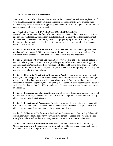## **VII. HOW TO PREPARE A PROPOSAL**

Solicitations consist of standardized forms that must be completed, as well as an explanation of your plan for solving the stated problem and meeting the requirements. Your proposal must include all requested, relevant and supporting documentation. In addition, your proposal must be easy to understand, concise and complete.

## **A. WHAT YOU WILL FIND IN A REQUEST FOR PROPOSAL (RFP)**

Most solicitations will be in the form of an RFP. Most RFPs are available in an electronic format and can be downloaded. Although there are standard sections in any RFP, the most important are: Section  $C$  – the statement of work; Section  $L$  – proposal preparation instructions; and Section M – the evaluation criteria. Be sure to analyze these sections carefully. The standard sections of an RFP are:

**Section A - Solicitation/Contract Form:** Identifies the title of the procurement, procurement number, point of contact (POC), how to acknowledge amendments and how to indicate "No Response" if you decide not to bid. Section A often appears as a one-page form.

**Section B - Supplies or Services and Prices/Cost:** Provides a listing of all supplies, data and services to be acquired. This section also provides pricing information, identifies the type of contract, identifies Contract Line Item Numbers, (CLINs), and Subline Items Numbers (SLINs) that identify billable items, describes period of performance, identifies option periods, if any, and provides cost and pricing guidelines.

**Section C - Description/Specification/Statement of Work:** Describes what the government wants you to do or supply. Outside of your pricing, most of your proposal will be responding to this section, telling them how you will deliver what they need. Sometimes this section is contained in a separate appendix, and is frequently associated with other appendices in Section J with other details to enable the bidder to understand the nature and scope of the tasks requested in Section C.

**Section D - Packaging and Marking:** Defines how all contract deliverables such as reports and material will be packaged and shipped. This information is important as these instructions may affect costs and raise logistics issues.

**Section E - Inspection and Acceptance:** Describes the process by which the government will officially accept deliverables and what to do if the work is not accepted. This process can also affect costs and identifies tasks you must be prepared to undertake.

**Section F - Deliveries or Performance:** Defines how the Government Contracting Officer will control the work performed and how you will deliver certain contract items by describing the time, place and method for delivering the procured line items, SLIN items and services.

**Section G - Contract Administration Data:** Describes how the Government Contracting Officer and your firm will interact and how information will be exchanged in administration of the contract to ensure both performance and prompt payment.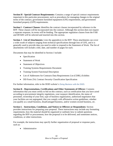**Section H - Special Contract Requirements:** Contains a range of special contract requirements important to this particular procurement, such as procedures for managing changes to the original terms of the contract, government furnished equipment (GFE) requirements, and government furnished property (GFP) requirements.

**Section I - Contract Clauses:** Identifies the contract clauses incorporated by reference in the RFP. These clauses will be incorporated into the contract. Although this section does not require a separate response, its terms will be binding. The appropriate regulation clauses from the FAR and DFARS will be selected and inserted into this section.

**Section J - List of Attachments:** Lists the appendices to the RFP. These attachments can cover a wide swath of subjects ranging from technical specifications through lists of GFE, and it is generally used to provide data you need in order to respond to the Statement of Work. The list of attachments will include a title, date, and number of pages for each.

Documents that may be identified in Section J include:

- Specification
- Statement of Work
- Statement of Objectives
- Training Systems Requirements Document
- Training System Functional Description
- List of Addressees for Contracts Data Requirements List (CDRL) Exhibits
- DD Form 254, Contract Security Classification Specification

For further information, refer to the DOD website's *[Doing Business with the DOD](https://business.defense.gov/Small-Business/Marketing-to-DoD/)*.

**Section K - Representations, Certifications and Other Statements of Offeror:** Contains information that you must certify to bid on this contract, such as certification that you have acted according to procurement integrity regulations, your taxpayer identification, the status of personnel, ownership of your firm, type of business organization, authorized negotiators that your facilities are not segregated, that you comply with affirmative action guidelines, whether you qualify as a small business, disadvantaged business, and/or women-owned business, *etc*.

**Section L - Instructions, Conditions, and Notices to Offerors or Respondents:** Section provides instructions for preparing your proposal. These instructions may include any formatting requirements, how the material should be organized or outlined, how to submit questions regarding the RFP or procurement, how the proposal is to be delivered, and sometimes notices, conditions, or other instructions.

For example, the instructions may specify further organization of proposal or response parts, such as:

• Administrative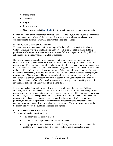- Management
- Technical
- Logistics
- Past performance
- Cost or pricing data [\(FAR 15.408\)](https://www.acquisition.gov/far/15.408), or information other than cost or pricing data

**Section M - Evaluation Factors for Award:** Defines the factors, sub-factors, and elements that the government uses to "grade" the proposal. The government grades proposals and then considers cost to determine who wins the award and gets the contract.

## **B. RESPONDING TO A SOLICITATION**

Your response to a government solicitation to provide the products or services is called an "offer." There are two types of offers: bids and proposals. Bids are used in sealed bidding purchases, while proposals involve awards to be made following negotiations. The published solicitation will indicate whether it is a bid or proposal.

Bids and proposals always should be prepared with the utmost care. Contracts awarded on erroneous offers may result in serious financial loss or other difficulty for the bidder. Before preparing an offer, you should carefully study the specifications to ensure that your company can meet all the requirements. Particular attention should be given to the instructions to offerors, and to the conditions of purchase, delivery and payment. When determining the amount of the offer, you should be especially careful to include all costs of material, labor, overhead, packaging, and transportation. Also, you should be sure to comply with such important provisions of the solicitation as submitting the required number of copies, mailing the offer in sufficient time to reach the purchasing office before the closing date, and properly tagging, marking, and mailing any required samples well in advance of the closing date.

If you want to change or withdraw a bid, you may send a letter to the purchasing office. However, the notification must reach the office prior to the time set for the bid opening. When preparing a proposal on a negotiated procurement, the same care should be taken as with a sealed bid. However, because the negotiated purchase procedure is more flexible than the sealed bid procedure, there is greater opportunity to seek modification of specifications, conditions of purchase, or delivery and payment. If the contracting officer decides to negotiate on your company's proposal a complete cost analysis may be required. Therefore, your company should be prepared to support the quotation with facts and figures.

## **C. ORGANIZING YOUR PROPOSAL**

Your proposal must demonstrate that:

- You understand the agency's need
- You understand the product or service requirements
- Your proposed solution meets (or exceeds) the requirements, is appropriate to the problem, is viable, is without great risk of failure, and is reasonably priced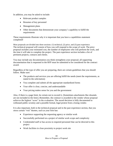In addition, you may be asked to include:

- Relevant product samples
- Resumes of key personnel
- Management plans
- Other documents that demonstrate your company's capability to fulfill the requirements

These requirements illustrate why it is important that you have a capabilities statement completed!

Most proposals are divided into three sections: (1) technical, (2) price, and (3) past experience. The technical proposal will consist of how you will respond to the scope of work. The price proposal includes your estimated cost, the number of employees who will perform the work, and the time it will take to complete the project. The past experience section includes a list of pertinent projects, contacts and clients.

You may include any documentation you think strengthens your proposal; all supporting documentation that is requested in the RFP must be submitted to be considered for the contract award.

Regardless of the type of offer you are preparing, there are certain guidelines that you should follow. Make sure:

- The products and services you are offering fulfill the needs (meet the requirements, as stated in the solicitation)
- You complete and submit all the appropriate standardized forms
- Your offer is clear, concise, and understandable
- Your pricing makes sense for you and the government

Also, if there is a page limit, be certain not to exceed it. (Sometimes attachments like résumés are not included in the limit.) Remember, the contract is awarded to the vendor whose proposal achieves the highest "score" in the evaluation. The award decision is fully documented to withstand public scrutiny and a possible formal, legal protest from a losing vendor.

It is also important, both in the technical proposal and in the past experience section, that you stress certain "win" themes, such as your firm has:

- Experience supporting the requesting agency or similar work
- Successfully performed on a project of similar work scope and complexity
- Credentialed staff or has access to required personnel that can be directed to this project
- Work facilities in close proximity to project work site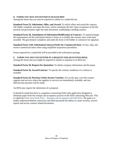### **D. FORMS YOU MAY ENCOUNTER IN SEALED BIDS**

Among the forms that you may be required to submit in a sealed bid are:

**Standard Form 33, Solicitation, Offer, and Award:** To solicit offers and award the contract. The bidder completes and signs the form, which constitutes the bid. Upon acceptance of the bid (award), the government signs the same document, establishing a binding contract.

**Standard Form 30, Amendment of Solicitation/Modification of Contract**: To amend (change the requirements of) the solicitation before it closes or to modify the contract once it has been awarded. The government completes and sends the form to the bidder or contractor for signature.

**Standard Form 1149, Solicitation/Contract/Order for Commercial Item:** To buy, ship, and receive commercial items when using simplified acquisition procedures.

Forms required for a sealed bid will be provided in the solicitation package.

#### **E. FORMS YOU MAY ENCOUNTER IN A REQUEST FOR QUOTATION (RFQ)**

Among the forms that you might be required to submit in response to an RFQ are:

**Standard Form 18, Request for Quotation:** To obtain company information and the quote.

**Standard Form 26, Award/Contract**: To specify the contract conditions if a contract is awarded.

**Standard Form 44, Purchase Order-Invoice-Voucher:** For on the spot, over-the-counter supplies and services where the supplies or services are immediately available, and one delivery/one payment will be made.

An RFQ may require the submission of a proposal.

It should be noted that there is a paperless contracting DoD-wide application designed to eliminate paper from the receipts and acceptance process of the DoD contracting lifecycle. This is called the Wide Area Work Flow – [Receipts and Acceptance \(WAWF-RA\).](https://www.dla.mil/HQ/InformationOperations/WAWF/) The goal is to enable authorized defense contractors and DoD personnel the ability to create invoices, receive reports and access contract related documents.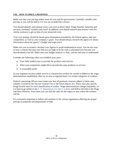### **VIII. HOW TO PRICE A RESPONSE**

Make sure that your pricing makes sense for you and the government. Carefully consider your pricing, as you will be held to it if you are awarded the contract.

You should identify and estimate every cost such as direct labor, fringe benefits, materials and services, overhead, royalties and travel. In addition, you should research past historic costs for similar contracts to get an idea of your projected costs.

Your cost strategy should be based upon information provided by the federal agency and your competition, as well as your company's goals. You should always research the agency to obtain information about the agency's budget and target price.

Make sure you accurately calculate your figures to avoid mathematical errors. You do not want to lose a contract because your bid was too high or be hit with a substantial loss because you miscalculated your bid. Make sure your budget analysis is clear, concise and easy to understand.

Consider the following when you establish your price:

- [Your fully loaded costs to provide the products and services](javascript:popWindow(popTxt1,%20500,%20400))
- [What your competitors might bid to provide the same products or services](javascript:popWindow(popTxt2,%20450,%20300))
- [A reasonable profit](javascript:popWindow(popTxt3,%20450,%20300))

If your response involves either service or construction workers be careful to adhere to the wage determinations established, often on an area or regional basis, for certain categories of workers.

Federal contracting officers must make sure that all pertinent contracts adhere to these rates whether covered by the Service Contract Act or the Davis-Bacon Act. These rates also specify fringe benefit rates for each classification of worker. Wage determinations change frequently, so it is best to go online to the [U. S. Department of Labor's website](http://www.dol.gov/) and follow the link to the Wage and Hour Division. From there you can find the rates for the region or area where the workers will be.

It is extremely important to follow and conform to the various regulations affecting the proper pricing of proposals and preparations of bids.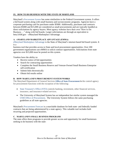## **IX. HOW TO DO BUSINESS WITH THE STATE OF MARYLAND**

Maryland's [Procurement System](http://procurement.maryland.gov/) has some similarities to the Federal Government system. It offers a bid board system along with small business and socioeconomic programs. Agencies have a corporate purchasing card for purchases under \$5000. Additionally, purchases and contracts between \$5000 and \$15,000 are considered as small procurements and are typically handled as direct solicitations by agency buyers. Most agency websites have their own "How to Do Business …" along with bid boards. Larger solicitations are through an equivalent to beta.SAM.gov – eMaryland Marketplace Advantage.

## **A. EMARYLAND MARKETPLACE ADVANTAGE (EMMA)**

[eMaryland Marketplace Advantage](https://procurement.maryland.gov/) is the State of Maryland's internet-based bid board system. It is a

business tool that provides access to State and local procurement opportunities. Over 200 government organizations use eMMA to solicit contract opportunities. Solicitations from state agencies over \$15,000 must be posted on this system.

Vendors have the ability to:

- Receive notice of bid opportunities
- Search for contracting opportunities
- Complete the Small Business Reserve and Veteran-Owned Small Business Enterprise self-certification
- Submit bids electronically
- Obtain bid results online

## **B. HOW MARYLAND'S PROCUREMENT SYSTEM WORKS**

The Maryland Department of General Services **[Office of State Procurement](https://procurement.maryland.gov/office-of-state-procurement/) is** the control agency for procurement functions with the exception of the following:

- [State Treasurer's Office \(STO\)](http://www.treasurer.state.md.us/procurement.aspx) controls banking, investment, other financial services, insurance, and insurance-related services.
- The University of Maryland System has an independent but similar system managed the [USM Office of Procurement.](https://www.usmd.edu/usm/procurement/) The University System follows the same purchasing guidelines as all state agencies.

Maryland's [Procurement Forecast](https://gomdsmallbiz.maryland.gov/Pages/Forecasting.aspx) is a searchable database for both state- and federally funded contracts that are being administered by a state agency. This valuable tool includes both recurring and projected opportunities.

## **C. MARYLAND'S SMALL BUSINESS PROGRAMS**

The state offers three programs to provide greater access and opportunity for small businesses seeking to do business with the state: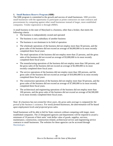## **1. [Small Business Reserve Program](https://gomdsmallbiz.maryland.gov/Pages/sbr-Program.aspx) (SBR)**

The SBR program is committed to the growth and success of small businesses. SBR provides small businesses with the opportunity to participate as prime contractors on state contracts and procurements by competing against other small businesses instead of larger, more established companies. Vendor registration is through eMMA.

A small business in the state of Maryland is a business, other than a broker, that meets the following criteria:

- The business is independently owned and operated
- The business is not a subsidiary of another business
- The business is not dominant in its field of operation
- The wholesale operations of the business did not employ more than 50 persons, and the gross sales of the business did not exceed an average of \$4,000,000 in its most recently completed three fiscal years
- The retail operations of the business did not employ more than 25 persons, and the gross sales of the business did not exceed an average of \$3,000,000 in its most recently completed three fiscal years
- The manufacturing operations of the business did not employ more than 100 persons, and the gross sales of the business did not exceed an average of \$2,000,000 in its most recently completed three fiscal years
- The service operations of the business did not employ more than 100 persons, and the gross sales of the business did not exceed an average of \$10,000,000 in its most recently completed three fiscal years
- The construction operations of the business did not employ more than 50 persons, and the gross sales of the business did not exceed an average of \$7,000,000 in its most recently completed three fiscal years.
- The architectural and engineering operations of the business did not employ more than 100 persons, and the gross sales of the business did not exceed an average of \$4,500,000 in its most recently completed three fiscal years.

## *Note: If a business has not existed for three years, the gross sales average is computed for the period of the business's existence. For newly formed businesses, the determination will be based upon employment levels and projected gross sales.*

Small businesses will be able to bid for State contracts without competing with larger, more established companies. The 23 designated agencies and departments will be required to award a minimum of 10 percent of their units' total dollar value of goods, supplies, services, maintenance, construction, construction-related, architectural service and engineering service contracts to small businesses. The websites for these agencies can be accessed through [Maryland.gov](https://www.maryland.gov/pages/agency_directory.aspx?view=Agencies).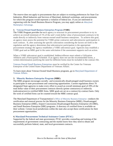The reserve does not apply to procurements that are subject to existing preferences for State Use Industries, Blind Industries and Services of Maryland, sheltered workshops, and procurements for which this program would represent a violation of federal law. If you are interested in registering with the Small Business Reserve Program, you may apply online at [eMaryland](https://procurement.maryland.gov/)  [Marketplace Advantage](https://procurement.maryland.gov/).

### **2. [Veteran-Owned Small Business Enterprises Program](https://gomdsmallbiz.maryland.gov/Pages/VSBE-Program.aspx) (VSBE)**

The VSBE Program provides for each agency to structure its procurement procedures to try to achieve an overall minimum of 1% of the unit's total dollar value of procurement contracts to be made directly or indirectly from veteran-owned small business enterprises. To achieve this goal, an agency must assess the potential for VSBE prime contractor and subcontractor participation in each contract. If, after assessing the specific solicitation considering the factors set forth in the regulation and the agency determines that subcontractor participation is the appropriate procurement strategy the agency establishes a VSBE subcontract goal. Agencies may establish a VSBE goal and an MBE goal in the same solicitation if the assessment supports such an action.

When a VSBE subcontract goal is established, bidders/offerors must submit a Utilization Affidavit and a Participation Schedule. If an agency does not use the recommended forms, a written determination justifying the need for different forms must be included in the contract file.

[Veteran-Owned Small Business Enterprises](http://www.va.gov/osdbu/) must be verified by the Center for Veterans Enterprise of the United States Department of Veterans Affairs.

To learn more about Veteran-Owned Small Business programs, go to [Maryland Department of](https://veterans.maryland.gov/)  [Veteran Affairs.](https://veterans.maryland.gov/)

## **3. [Minority Business Enterprise Program](http://www.mdot.maryland.gov/newMDOT/MBE/index.html) (MBE)**

The MBE program encourages socially- and economically-disadvantaged small business owners to participate in state procurement and contracting opportunities. Current regulations direct 70 designated State agencies to make every effort to award an overall minimum goal of 29% of the total dollar value of their procurement contracts directly (prime contractors) or indirectly (subcontractors) to certified MBE firms. MBE goals are set on a contract-by-contract basis. Only the work of certified firms can be counted toward the MBE contract goal.

The Maryland Department of Transportation's [Office of Minority Business Enterprise](http://www.mdot.maryland.gov/newMDOT/MBE/Overview.html) conducts the certification and renewal process for the Minority Business Enterprise (MBE), Disadvantaged Business Enterprise (DBE), Airport Concessions Disadvantaged Business Enterprise (ACDBE), and Small Business Enterprise (SBE) programs. A directory of certified firms is available on their website. Certain local jurisdictions within the state also accept these certifications for their procurement opportunities.

#### **4. [Maryland Procurement Technical Assistance Center \(PTAC\)](https://www.mdptac.org/)**

Supported by the federal and state government, PTAC provides counseling and training of the requirements of government contracting and the market know-how they need to obtain and successfully perform federal, state, and local government contracts.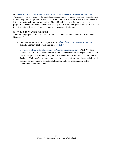#### **D. GOVERNOR'S OFFICE OF [SMALL, MINORITY & WOMEN BUSINESS AFFAIRS](https://gomdsmallbiz.maryland.gov/Pages/default.aspx)**

The primary role is to connect the small business community to greater economic opportunities in both the public and private sectors. The Office monitors the state's Small Business Reserve, Minority Business Enterprise and Veteran-Owned Small Business Enterprise procurement programs. The conduct a statewide outreach campaign that provides general education as well as technical training for those firms that want to do business with the state.

#### **E. WORKSHOPS AND RESOURCES**

The following organizations offer vendor outreach sessions and workshops on "How to Do Business…"

- Maryland Department of Transportation's [Office of Minority Business Enterprise](http://www.mdot.maryland.gov/newMDOT/MBE/Overview.html) provides monthly application assistance [workshops.](http://www.mdot.maryland.gov/newMDOT/MBE/ApplicationAssistance/ApplicationAssistance.html)
- Governor's [Office of Small, Minority & Women Business Affairs](https://gomdsmallbiz.maryland.gov/Pages/default.aspx) (GOSBA) offers "Ready, Set, GROW!" a workshop series that connects vendors with agency buyers and shares best practices for navigating the procurement process. GOSBA also provides a Technical Training Classroom that covers a broad range of topics designed to help small business owners improve managerial efficiency and gain understanding of the government contracting arena.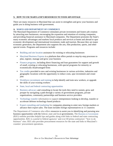## **X. HOW TO USE MARYLAND'S RESOURCES TO YOUR ADVANTAGE**

There are many resources in Maryland that can assist to strengthen and grow your business and guide you in doing business with government.

## **A. [MARYLAND DEPARTMENT OF COMMERCE](http://www.commerce.maryland.gov/)**

The Maryland Department of Commerce stimulates private investment and fosters job creation by attracting new businesses, encouraging the expansion and retention of existing companies, and providing financial assistance to Maryland companies. The Department promotes the State's many economic advantages and markets local products and services at home and abroad to spur economic development and international investment, trade and tourism. Because they are major economic generators, the Department also supports the arts, film production, sports, and other special events. Programs and resources include:

- [Building and site location](https://open.maryland.gov/business-resources/buildings-sites/) assistance for existing or relocating businesses
- [Maryland Business Express](https://businessexpress.maryland.gov/) is a platform that offers portals to step-by-step processes to plan, register, manage and grow your business
- [Finance programs,](https://commerce.maryland.gov/fund) including direct financing and loan guarantees for support and growth of small, existing or relocating businesses, with special programs for minority or economically disadvantaged firms
- [Tax credits](https://commerce.knack.com/maryland-funding-incentives#home/?view_17_page=1&view_17_filters=[{%22field%22:%22field_22%22,%22operator%22:%22in%22,%22value%22:[%22Tax%20Credit%22]}]) provided to new and existing businesses in various activities, industries and geographic locations with the opportunity to reduce costs, spur investment and create jobs
- [Workforce recruitment and training](https://open.maryland.gov/business-resources/workforce/) to help identify and train new workers, or upgrade the skills of your existing workers
- State, local [and federal contracting opportunities](https://open.maryland.gov/business-resources/government-contracting/)
- [Business advocacy](https://open.maryland.gov/business-resources/business-regulations/) and consulting to locate the tools they need to sustain, grow and prosper by navigating a path through a variety of government programs, private organizations, community partnerships and business service providers
- [Technology transfer](https://deftechmd.net/) information to support entrepreneurs looking to develop, transfer or accelerate defense technology-based products
- [Export consulting and marketing](https://open.maryland.gov/business-resources/global-expansion/) for companies planning to enter new foreign markets or advance their export sales. The team includes foreign representatives in 11 countries

The Department of Commerce also offers resources to assist you in identifying and pursuing new business opportunities with the federal, state and local governments. The [Business to Government](http://commerce.maryland.gov/grow/business-to-government) (B2G) website provides helpful tips and guides along with links to federal and state contracting opportunities. B2G is a portal to federal agencies' and over 60 prime contractors' "how to do business" sites. B2G also provides procurement resources for the state and links to Maryland's counties' procurement operations.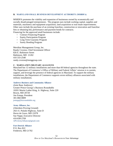#### **B. [MARYLAND SMALL BUSINESS DEVELOPMENT AUTHORITY \(MSBDFA\)](http://commerce.maryland.gov/fund/programs-for-businesses/msbdfa)**

MSBDFA promotes the viability and expansion of businesses owned by economically and socially disadvantaged entrepreneurs. The program uses include working capital, supplies and materials, machinery and equipment acquisition, land acquisition or real estate improvements. Other uses include the purchase of an existing franchise, construction or renovation and franchise fees or obtaining bid, performance and payment bonds for contracts. Financing for the approved small businesses include:

- o Contract Financing Program
- o Equity Participation Program
- o Long Term Guaranty Program
- o Surety Bonding Program

Meridian Management Group, Inc. Randy Croxton, Chief Investment Officer 826 E. Baltimore Street Baltimore, MD 21202 410 333-2548 randy.croxton@mmggroup.com

#### **C. MARYLAND'S MILITARY ALLIANCES**

Maryland has 12 military installations and more than 60 federal agencies throughout the state. The Department of Commerce's Office of Military and Federal Affairs' mission is to sustain, support, and leverage the presence of federal agencies in Maryland. To support the military installations, the Department of Commerce supports seven military alliances associated with military installations.

#### **[Andrews Business and Community Alliance](http://www.andrewsalliance.com/)**

**(**Joint Base Andrews) Greater Prince George's Business Roundtable 10201 Martin Luther King, Jr. Highway, Suite 220 Bowie, MD 20720 Jim Estepp, President 301-860-0809 [jestepp@bizroundtable.org](mailto:jestepp@bizroundtable.org)

#### **[Army Alliance, Inc.](http://www.armyalliance.org/)**

(Aberdeen Proving Ground) 2021 E. Pulaski Highway, Suite D Havre de Grace, MD 21078 Sue Nappi, Executive Director 410-838-2769 [APGArmyAlliance@gmail.com](mailto:APGArmyAlliance@gmail.com)

#### **[Fort Detrick Alliance](http://www.ftmeadealliance.org/)**

P.O. Box 822 Frederick, MD 21702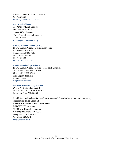Eileen Mitchell, Executive Director 301-788-9896 [director@fortdetrickalliance.org](mailto:director@fortdetrickalliance.org)

#### **[Fort Meade Alliance](http://www.ftmeadealliance.org/)**

1350 Dorsey Road, Suite G Hanover, MD 21076 Steven Tiller, President Tim O'Ferrall, General Manager 410-850-4940 [toferrall@ftmeadealliance.org](mailto:toferrall@ftmeadealliance.org)

#### **[Military Alliance Council \(MAC\)](http://www.charlescountychamber.org/mac-military-alliance-group)**

(Naval Surface Warfare Center Indian Head) 4275 Hawthorne Road Indian Head, MD 20640 Brian Klaas, President 301-743-6622 [brian.klaas@verizon.net](mailto:brian.klaas@verizon.net)

#### **[Maritime Technology Alliance](http://www.maritimetechnologyalliance.org/)**

(Naval Surface Warfare Center – Carderock Division) 16710 Batchellors Forest Road Olney, MD 20832-2703 Ivan Caplan, President 410-647-7048 [ilcaplan@verizon.net](mailto:ilcaplan@verizon.net)

#### **[Southern Maryland Navy Alliance](http://www.somdnavyalliance.com/About.aspx)**

(Naval Air Station Patuxent River) 46610 Expedition Drive, Suite 101 Lexington Park, MD 20653

In addition, the Food and Drug Administration at White Oak has a community advocacy organization called Labquest: **Federal Research Center at White Oak** LABQUEST Partnership 10903 New Hampshire Avenue Silver Spring, Maryland, 20903 Betsy Bretz, Chairperson 301-439-8655 (Office) [bbretz@comcast.net](mailto:bbretz@comcast.net)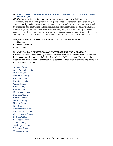#### **D. MARYLAND GOVERNOR'S OFFICE OF [SMALL, MINORITY & WOMEN BUSINESS](https://gomdsmallbiz.maryland.gov/Pages/default.aspx)  [AFFAIRS \(GOSBA\)](https://gomdsmallbiz.maryland.gov/Pages/default.aspx)**

GOSBA is responsible for facilitating minority business enterprise activities through coordinating and promoting government programs aimed at strengthening and preserving the State's minority business enterprises. GOSBA connects small, minority- and women-owned businesses to state contracting and procurement opportunities through the Minority Business Enterprise (MBE) and Small Business Reserve (SBR) programs while working with state agencies to implement and monitor these programs in accordance with applicable policies, laws and regulations. GOMA offers training and workshops on doing business with the State.

Maryland Governor's Office of Small, Minority & Women Business Affairs 100 Community Place Crownsville, MD 21032 410-697-9600

#### **E. MARYLAND'S COUNTY ECONOMIC DEVELOPMENT ORGANIZATIONS**

County economic development organizations are state partners supporting local economy and business community in their jurisdiction. Like Maryland's Department of Commerce, these organizations offer support to encourage the expansion and retention of existing employers and the attraction of new ones.

[Allegany](http://www.alleganyworks.org/) County Anne [Arundel](http://www.aaedc.org/) County [Baltimore](http://baltimoredevelopment.com/) City [Baltimore](http://www.baltimorecountymd.gov/Agencies/economicdev/baltimorecountybusiness/) County Calvert [County](http://www.ecalvert.com/) [Caroline](http://www.carolinebusiness.com/) County Carroll [County](http://www.carrollbiz.org/) Cecil [County](http://www.cecilbusiness.org/) [Charles](http://www.meetcharlescounty.com/) County [Dorchester](http://www.choosedorchester.org/) County [Frederick](http://www.discoverfrederickmd.com/) County Garrett [County](http://www.gcedonline.com/) [Harford County](http://www.harfordcountymd.gov/718/Economic-Development) [Howard](http://www.hceda.org/) County [Kent County](https://www.kentcounty.com/business) [Montgomery County](https://thinkmoco.com/) Prince [George's](http://www.pgcedc.com/) County [Queen Anne's County](https://choosequeenannes.com/) [St. Mary's County](https://www.yesstmarysmd.com/) [Somerset](http://www.somersetcountyedc.org/somerset-county-edcoverview.php) County Talbot [County](http://www.talbotcountymd.gov/index.php?page=Economic_Development) [Washington](http://www.hagerstownedc.org/) County [Wicomico](http://www.swed.org/) County [Worcester](http://www.chooseworcester.org/) County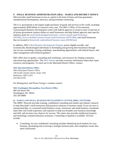## **F. SMALL BUSINESS ADMINISTRATION (SBA) – MARYLAND DISTRICT OFFICE**

SBA provides small businesses access to capital in the form of loans and loan guarantees, entrepreneurial development, advocacy and government contracting.

The U.S. government is the largest single purchaser of goods and services in the world, awarding approximately \$500 billion in contracts every year. The SBA's Office of Government Contracting & Business Development works with federal agencies to award at least 23 percent of all prime government contract dollars to small businesses and help federal agencies meet specific statutory goals for [small disadvantaged businesses,](http://www.sba.gov/content/disadvantaged-businesses) [women-owned small businesses](http://www.sba.gov/content/contracting-opportunities-women-owned-small-businesses)  [\(WOSB\),](http://www.sba.gov/content/contracting-opportunities-women-owned-small-businesses) [service-disabled veteran-owned small businesses \(SDVOSB\),](http://www.sba.gov/content/service-disabled-veteran-owned-small-business-concerns-sdvosbc) and small businesses that are located in [historically underutilized business zones \(HUBZone\).](http://www.sba.gov/category/navigation-structure/contracting/working-with-government/small-business-certifications-au-0)

In addition, SBA's [8\(a\) Business Development Program](http://www.sba.gov/category/navigation-structure/contracting/contracting-support-small-businesses/8a-business-developme) assists eligible socially- and economically-disadvantaged individuals in developing and growing their businesses through one-on-one counseling, training workshops, matchmaking opportunities with federal buyers, and other management and technical guidance.

SBA offers how-to guides, counseling and workshops, and resources for finding customers, subcontracting opportunities. The [SBA website](https://www.sba.gov/contracting) provides extensive information about their many resources and programs. To reach out to the Maryland District Office, contact:

## **[SBA Maryland District Office](http://www.sba.gov/md)**

SBA Maryland District Office 100 South Charles Street, Suite 1201 Baltimore, MD 21201 410-962-6195

For Montgomery and Prince George's counties contact:

# **[SBA Washington Metropolitan Area District Office](http://www.sba.gov/dc/)**

409 3rd Street SW Washington, DC 20416 202-205-8800

## **G. [MARYLAND SMALL BUSINESS DEVELOPMENT CENTER \(SBDC\) NETWORK](https://www.marylandsbdc.org/index.htm)**

The SBDC Network provides training, confidential consulting and market and industry research to help Maryland's small businesses find practical solutions to business needs. If you are new to entrepreneurship, or a seasoned small business owner, instructors and small business consultants share their real-world experience and expertise to help you broaden your business knowledge and skill, and increase your chances for success. The center also provides intellectual property and technology commercialization assistance. Counseling in Spanish is available. Services include:

• Consulting: no-cost confidential consulting includes identifying local markets for your business, developing and reviewing a strategic business plan, and compliance issues that need clarification.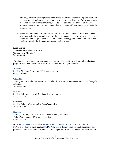- Training: a variety of comprehensive trainings for a better understanding of what it will take to establish and operate a successful business at no or low cost. Online courses offer a convenient way to obtain training. Face-to-face sessions will provide invaluable knowledge and an opportunity to share ideas and issues with entrepreneurs with similar experiences.
- Resources: hundreds of research resources on print, video and electronic media where you can obtain the information you need to start, manage and grow your small business. Resources include guidance for: business plans, finance, government and international markets, minority business programs and market research.

#### **Lead Center**

7100 Baltimore Avenue, Suite 400 College Park, MD 20740 301-403-0501

The state is divided into six regions and each region offers services with special emphasis on programs that meet the unique needs of businesses within its jurisdiction.

#### **[Western](https://www.marylandsbdc.org/locations/western-region)**

Serving Allegany, Garrett and Washington counties 888-237-9007

#### **[Corridor](https://www.marylandsbdc.org/locations/corridor-region)**

Serving Anne Arundel, Baltimore City, Frederick, Howard, Montgomery and Prince George's counties 301-403-8300

#### **[Northern](https://www.marylandsbdc.org/locations/northern-region)**

Serving Baltimore, Carroll, Cecil and Harford counties 443-412-2237

#### **[Southern](https://www.marylandsbdc.org/locations/southern-region)**

Serving Calvert, Charles and St. Mary's counties 301-539-4687

#### **[Eastern](https://www.marylandsbdc.org/locations/eastern-region)**

Serving Caroline, Dorchester, Kent, Queen Anne's, Somerset, Talbot, Wicomico, and Worcester counties 410-548-4419

#### **H. [MARYLAND PROCUREMENT TECHNICAL ASSISTANCE CENTER](https://www.mdptac.org/) (PTAC)**

PTAC, a program of the Maryland SBDC Network, is designed to help small businesses sell products and services to federal, state and local agencies. At no cost to small business owners,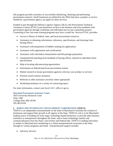this program provides assistance in successfully identifying, obtaining and performing government contracts. Small businesses (as defined by the SBA) that have a product or service needed by a government agency can apply for these services.

Funded in part through the Defense Logistics Agency (DLA), the Procurement Technical Assistance Centers (PTAC) train businesses on how to do business and solve problems with government agencies through workshops and individual one-on-one counseling sessions. Counseling is free, but some training programs may have a small fee. Services PTAC provides:

- Access to library of federal, state, and local procurement resources
- Assistance in obtaining solicitations, references, specifications, and drawings from buying offices
- Assistance with preparation of bidders mailing list applications
- Assistance with registrations and certifications
- Assistance with solicitation interpretation and bid package preparation
- Automated bid matching from hundreds of buying offices, tailored to individual client specifications
- Help in locating subcontracting opportunities
- Information on federal/state/local procurement actions
- Market research to locate government agencies who buy your product or services
- Pre/post award contract assistance
- Referrals to other assistance activities where appropriate
- Workshops/seminars on a variety of contracting topics

For more information, contact your local [SBDC](http://mdsbdc.umd.edu/index.php) office or go to:

**[Maryland Procurement Assistance Center](https://www.mdptac.org/)**

5825 University Research Court Suite 1300 College Park, MD 20740 301-405-6550

## **I. MARYLAND [TECHNOLOGY DEVELOPMENT CORPORATION](https://www.tedcomd.com/) (TEDCO)**

TEDCO is an independent instrumentality of the State of Maryland to facilitate the creation of businesses and support their growth in all regions of the State. TEDCO's role is to be Maryland's leading source of funding for early-stage, technology-based businesses; to provide other business assistance to entrepreneurs throughout the State; and to foster technology transfer and commercialization from the State's universities and Federal labs. TEDCO is leading innovation to market in Maryland and contributing to a robust entrepreneurial ecosystem in the State through its various programs and funds. Entrepreneurial support includes

• Advisory Services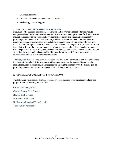- Business Resources
- Pre-seed and seed investment, and venture funds
- Technology transfer support

## **J. [TECHNOLOGY INCUBATORS IN MARYLAND](https://commerce.knack.com/find-a-maryland-incubator-or-accelerator)**

Maryland's 45+ business incubators, accelerators and co-working spaces offer early stage companies shared resources, business assistance, and access to equipment and facilities. Business incubation accelerates the successful development of start-up and fledgling companies by providing entrepreneurs with an array of targeted resources and services. These services are usually developed or orchestrated by incubator management and offered both in the business incubator and through its network of contacts. An incubator's main goal is to produce successful firms that will leave the program financially viable and freestanding. These incubator graduates have the potential to create jobs, revitalize neighborhoods, commercialize new technologies, and strengthen local and national economies. Maryland Department of Commerce provides an [interactive tool](http://commerce.maryland.gov/move/find-a-location/incubators) to help identify the right incubator.

The [Maryland Business Innovation Association](http://mdinnovate.org/about/) (MBIA) is an association to advance of business incubation in Maryland. MBIA supports 550 companies across the state and is dedicated to sharing resources, information, and best practices among the members with the overall goal of promoting business incubation excellence within all Maryland's incubators.

## **K. TECHNOLOGY COUNCILS AND ASSOCIATIONS**

The following organizations promote technology-based businesses for the region and provide programs and networking opportunities.

[Carroll Technology Council](http://www.carrolltechcouncil.org/) [Charles County Tech Council](http://www.thetechcouncil.net/) [Howard Tech Council](http://www.hceda.org/maryland-center-for-entrepreneurship/howard-tech-council.aspx) [Maryland Tech Council](https://mdtechcouncil.com/) [Northeastern Maryland Tech Council](http://www.nmtc.org/) [The Patuxent Partnership](http://www.paxpartnership.org/)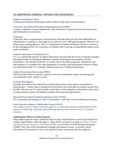## **XI.ADDITIONAL FEDERAL CONTRACTING RESOURCES**

#### **[Public Purchasing Fact Sheet](https://gomdsmallbiz.maryland.gov/Documents/PublicPurchasingFactSheet.pdf)**

Common procurement terminology used by federal, State and local governments.

#### **[Contractor Assessment Performance Reporting](http://www.cpars.gov/) System (CPARS)**

Contains a database of many departments' past performance reports from previous fiscal years and information on contractors.

#### **[Grants.gov](http://www.grants.gov/)**

Grants.gov allows organizations to electronically find and apply for more than \$400 billion in federal grants. Grants.gov is the single access point for over 1,000 grant programs offered by all federal grant-making agencies. The U.S. Department of Health and Human Services is proud to be the managing partner for Grants.gov, an initiative that is having an unparalleled impact on the grant community.

#### **[Federal Laboratories Consortium \(FLC\)](http://www.federallabs.org/)**

FLC is a nationwide network of federal laboratories that provides the forum to develop strategies and opportunities for linking the laboratory mission technologies and expertise with the marketplace. The mission of the FLC is to add value to the federal agencies, laboratories and their partners to accomplish the rapid integration of research and development resources within the mainstream of the U.S. economy. Maryland has over 74 federal laboratories.

#### **[Federal Procurement Data System \(FPDS\)](https://www.fpds.gov/fpdsng_cms/index.php/en/)**

FPDS provides details on specific contracts and is the authoritative source for entering and viewing details about contract awards.

#### **[Contract Data Reports](https://beta.sam.gov/help/contract-data)**

Formally provided by the Federal Procurement Data System, these reports transitioned to beta.Sam.gov. Contract data is detailed post-solicitation and award data on contract actions over \$3,500. One may use it to search public award data to find competitive information, learn when existing contracts expire, and identify potential subcontracting opportunities.

#### **[Maryland Procurement Technical Assistance Center \(PTAC\)](https://www.mdptac.org/)**

Free counseling and training on "how to do business" with state, local and federal government.

#### **[North American Industry Classification System \(NAICS\)](http://www.census.gov/eos/www/naics/)**

The standard used by Federal statistical agencies in classifying business establishments for the purpose of collecting, analyzing, and publishing statistical data related to the U.S. business economy.

#### **Small Business Offices at Federal Agencies**

Many federal agencies have a dedicated office to help small businesses search and compete for contract opportunities within the agency. These offices are known as either an [Office of Small](https://webarchive.library.unt.edu/eot2008/20080916004434/http:/osdbu.gov/offices.html)  [and Disadvantaged Business Utilization \(OSDBU\)](https://webarchive.library.unt.edu/eot2008/20080916004434/http:/osdbu.gov/offices.html) or an Office of Small Business Programs (OSBP). They may hold informational trainings and outreach events, or provide contact information for businesses to use to ask questions about contracting with their agencies.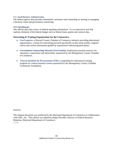#### **U.S. [Small Business Administration](https://www.sba.gov/about-sba)**

The federal agency that provides information, assistance and counseling on starting or managing a business, loans and government contracting.

#### **[USA Spending.gov](http://www.usaspending.gov/)**

The official open data source of federal spending information. It is an interactive tool that explores elements of the federal budget such as federal loans, grants and contract data.

#### **Networking & Training Organizations for the Contractors:**

- **[GovConnects:](https://www.howardchamber.com/about-govconnects/)** a Howard County Chamber of Commerce initiative providing educational opportunities, a forum for networking focused specifically on this niche market, targeted events and current information guided by experienced contracting participants.
- **[Government Contracting Network \(GovConNet\):](http://www.montgomerycountychamber.com/govconnet)** Federal procurement resource for education, connections and information, sponsored by the Montgomery County Chamber of Commerce.
- **[Veteran Institute for Procurement \(VIP\)](https://www.mcccmd.com/veteran-institute-for-procurement.html)** a comprehensive educational training program for veteran business owners sponsored by the Montgomery County Chamber Community Foundation.

Sources:

The original document was produced by the Maryland Department of Commerce in collaboration with SAIC, Inc. This edition was edited by Helga Weschke, Director of Federal Business Relations, Maryland Department of Commerce. 1/2021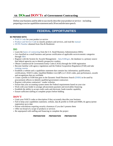# **XII. DOsand DON'Ts of Government Contracting**

Define your business and be able to succinctly describe your product or service—including preparingaconcisecapabilitiesstatementanda30secondelevatorspeech.

# **FEDERAL OPPORTUNITIES**

#### **BE PREPARED WITH:**

- [NAICS Code](http://www.census.gov/eos/www/naics/) for your product or service
- [Produce and Service Code](https://www.acquisition.gov/PSC_Manual) to classify products and services, and read the [manual](https://www.acquisition.gov/sites/default/files/page_file_uploads/PSC%20Manual%20-%20Final%20-%2011%20August%202011.pdf)
- [DUNS Number](https://www.dnb.com/duns-number.html) obtained from Dun & Bradstreet

## **DO**

- Learn the [basics of contracting](https://www.sba.gov/contracting) from the U.S. Small Business Administration (SBA)
- Get classified as a small business and pursue certification of applicable socio/economic categories through [SBA](https://www.sba.gov/contracting/government-contracting-programs)
- Register with the System for Awards Management [beta.SAM.gov,](https://beta.sam.gov/) the database is a primary source that federal agencies use to identify prospective vendors
- Obtain Commercial & Government Entity Code (CAGE) through the SAM registration
- Become familiar with agency regulations and the Federal Acquisition Regulation (FAR) and take [training courses](https://www.acquisition.gov/Training)
- Establish a website and a capabilities statement that contains key information, qualifications, certifications, NAICS codes, Qualified Bidders List (QPL) or CAGE codes, past performance, awards and recognitions that are verifiable
- Create a profile in SAM that goes in the Dynamic Small Business Searc[h \(DSBS\)](http://dsbs.sba.gov/dsbs/search/dsp_dsbs.cfm) to be used by procurement officers to identify qualified government contractors
- Register with prime contractors' vendor websites
- Ensure that your accounting system meets the Federal requirements based on your size
- Work with your lender to arrange advancement payment and receivables financing
- Establish the ability to accept credit cards and electronic funds transfer capability
- Ensure sufficient staffing to complete project before bidding

# **DON'T**

- Limit your NAICS codes or description if they accurately describe your business
- Fail to keep your capabilities statement, website, data & profile in SAM and DSBS, & agency/prime registration up to date
- Pursue solicitations requiring security clearances if you don't possess them
- Offer too broad of a scope of products or services
- Be unprepared with staffing and financing to complete the project

*PREPARATION PREPARATION PREPARATION*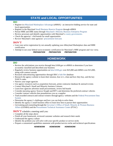# **STATE and LOCAL OPPORTUNITIES**

# **DO**

- Register i[n eMaryland Marketplace Advantage](https://procurement.maryland.gov/) (eMMA) an interactive bidding service for state and local opportunities
- Register in the Maryland [Small Business Reserve Program](https://gomdsmallbiz.maryland.gov/Pages/sbr-Program.aspx) through eMMA
- Pursue MBE and DBE status through [Maryland's Minority Business Enterprise Program](http://www.mdot.maryland.gov/newMDOT/MBE/Index.html)
- Review processes and identify opportunities with Maryland's [county governments.](http://commerce.maryland.gov/grow/business-to-government#county)
- Check the agencies' s bid boards for small opportunities
- Review Maryland's state agencies' [procurement forecasts](https://gomdsmallbiz.maryland.gov/Pages/Forecasting.aspx)

# **DON'T**

- Lose your active registration by not annually updating your eMaryland Marketplace data and MBE certification
- Attempt to use your federal socio-economic certification for Maryland's MBE program and vice versa.

*PREPARATION PREPARATION PREPARATION*

# **HOMEWORK**

# **DO**

- Review the solicitations you receive through beta.SAM.gov or eMMA to determine if you have accurately classified and described your business
- Regularly review business opportunities on [beta.SAM.gov](https://beta.sam.gov/) over \$25,000 and eMMA over \$15,000, along with contract awards
- Research subcontracting opportunities through SBA's [Sub-Net](https://eweb1.sba.gov/subnet/client/dsp_Landing.cfm) database
- Research the agency website to learn their mission, how to's, what and how they buy, and the key NAICS codes
- Narrow your target agencies
- Use agency resources such as acquisition forecasts, prime contractor database & outreach events
- Contact Maryland's Small and Minority business Liaisons
- Learn how agencies advertise small procurements, review bid boards
- Consider pursuing agency Sources Sought and RFI's and determine the preferred contract vehicles
- Consider contract vehicles that preauthorizes you as a supplier
- Trackawarded contracts and contract winners through agency websites and the [Federal Procurement Data](https://www.fpds.gov/fpdsng_cms/index.php/en/)  [System](https://www.fpds.gov/fpdsng_cms/index.php/en/)
- Determine the agency's challenges and how you can help to solve them
- Identify the agency's small business office to learn how best to pursue their opportunities
- Get training and counseling through the [Governor's Office of Small, Minority & Women Business](http://goma.maryland.gov/Pages/default.aspx)  [Affairs](http://goma.maryland.gov/Pages/default.aspx) (GOSBA) and the [Procurement Technical Assistance Center](https://www.mdptac.org/) (PTAC)

## **DON'T** schedule a meeting until you:

- Complete all the steps above
- Finish all your homework, reviewed customer websites and research their needs
- Understand the agency culture
- Identify the problem you will solve with your specific product or service niche
- Prepare a customized capabilities statement with product/service niche and technical specifications

*HOMEWORK HOMEWORK HOMEWORK*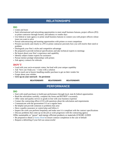# **RELATIONSHIPS**

## **DO**

- Listen and learn
- Seek informational and networking opportunities to meet small business liaisons, project officers (PO) or prime contractor through forums, and industry or vendor days
- Use federal or state agency or prime small business liaisons to connect you with project officers whose issue you want to solve
- Pursue subcontracting and teaming opportunities with primes or event competitors
- Present succinctly and clearly to a PO or prime contractor precisely how you will resolve their need or problem
- Distinguish your firm's niche and competitive advantage
- Be prepared to provide technical specifications and take technical experts to meetings
- Be honest about your firm's experience and capability
- Identify subject matter experts for assistance
- Pursue mentor protégé relationships with primes
- Ask agency contacts for referrals

#### **DON'T**

- Lead with your socio-economic status, but lead with your unique capability
- Ask "how can I help you." Come with a solution
- Fail to reach out to buyers handling smaller purchase to get on their vendor list
- Forget about your rolodex
- **Give up on your outreach – be persistent**

```
RELATIONSHIPS RELATIONSHIPS RELATIONSHIPS
```
# **PERFORMANCE**

## **DO**

- Start with small purchases to build past performance through local, state & federal opportunities
- Read the solicitation carefully, complete the forms and RFI/RFP's accurately.
- Offer value and quality service or goods in line with your business expertise
- Contact the contracting officer (CO) with questions about the solicitation and requirements
- Communicate with the government CO on a regular basis
- Be helpful and provide solutions to problems that arise
- Have a quality assurance or control plan and follow it
- Inspect the work you perform frequently and make sure it is compliant with the contract specifications
- Discuss problems that come up on the job as work progresses with the contracting agency
- Offer sustainable or "green" and energy efficient products or materials (USGBC-LEED
- Be prepared to obtain a [Surety Bond](https://www.sba.gov/content/surety-bonds-basics) to ensure contract completion in the case of default
- Request a debriefing if your bid was unsuccessful